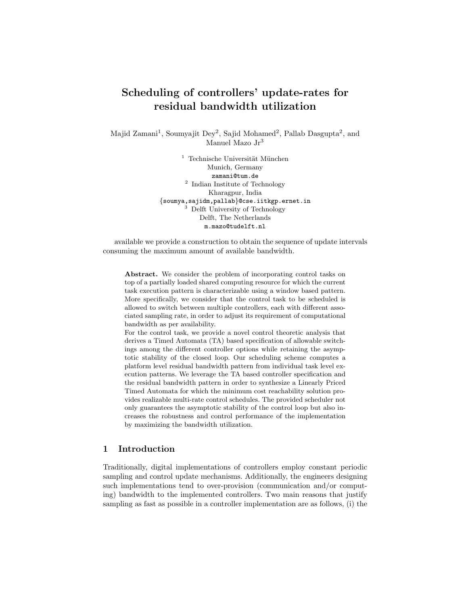# <span id="page-0-0"></span>Scheduling of controllers' update-rates for residual bandwidth utilization

Majid Zamani<sup>1</sup>, Soumyajit Dey<sup>2</sup>, Sajid Mohamed<sup>2</sup>, Pallab Dasgupta<sup>2</sup>, and Manuel Mazo $\rm{Jr}^3$ 

> $1$  Technische Universität München Munich, Germany zamani@tum.de <sup>2</sup> Indian Institute of Technology Kharagpur, India {soumya,sajidm,pallab}@cse.iitkgp.ernet.in <sup>3</sup> Delft University of Technology Delft, The Netherlands m.mazo@tudelft.nl

available we provide a construction to obtain the sequence of update intervals consuming the maximum amount of available bandwidth.

Abstract. We consider the problem of incorporating control tasks on top of a partially loaded shared computing resource for which the current task execution pattern is characterizable using a window based pattern. More specifically, we consider that the control task to be scheduled is allowed to switch between multiple controllers, each with different associated sampling rate, in order to adjust its requirement of computational bandwidth as per availability.

For the control task, we provide a novel control theoretic analysis that derives a Timed Automata (TA) based specification of allowable switchings among the different controller options while retaining the asymptotic stability of the closed loop. Our scheduling scheme computes a platform level residual bandwidth pattern from individual task level execution patterns. We leverage the TA based controller specification and the residual bandwidth pattern in order to synthesize a Linearly Priced Timed Automata for which the minimum cost reachability solution provides realizable multi-rate control schedules. The provided scheduler not only guarantees the asymptotic stability of the control loop but also increases the robustness and control performance of the implementation by maximizing the bandwidth utilization.

# 1 Introduction

Traditionally, digital implementations of controllers employ constant periodic sampling and control update mechanisms. Additionally, the engineers designing such implementations tend to over-provision (communication and/or computing) bandwidth to the implemented controllers. Two main reasons that justify sampling as fast as possible in a controller implementation are as follows, (i) the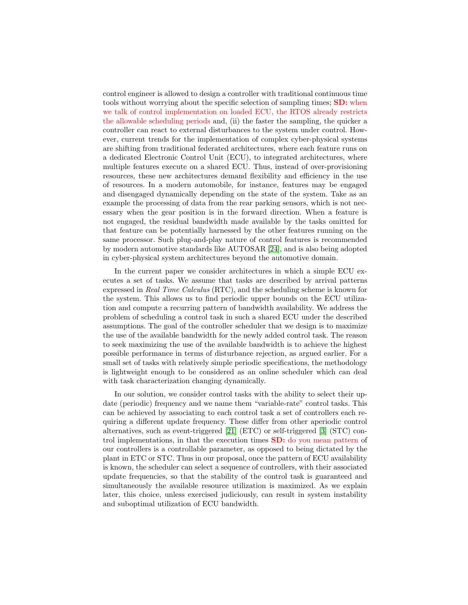control engineer is allowed to design a controller with traditional continuous time tools without worrying about the specific selection of sampling times; SD: when we talk of control implementation on loaded ECU, the RTOS already restricts the allowable scheduling periods and, (ii) the faster the sampling, the quicker a controller can react to external disturbances to the system under control. However, current trends for the implementation of complex cyber-physical systems are shifting from traditional federated architectures, where each feature runs on a dedicated Electronic Control Unit (ECU), to integrated architectures, where multiple features execute on a shared ECU. Thus, instead of over-provisioning resources, these new architectures demand flexibility and efficiency in the use of resources. In a modern automobile, for instance, features may be engaged and disengaged dynamically depending on the state of the system. Take as an example the processing of data from the rear parking sensors, which is not necessary when the gear position is in the forward direction. When a feature is not engaged, the residual bandwidth made available by the tasks omitted for that feature can be potentially harnessed by the other features running on the same processor. Such plug-and-play nature of control features is recommended by modern automotive standards like AUTOSAR [\[24\]](#page-17-0), and is also being adopted in cyber-physical system architectures beyond the automotive domain.

In the current paper we consider architectures in which a simple ECU executes a set of tasks. We assume that tasks are described by arrival patterns expressed in Real Time Calculus (RTC), and the scheduling scheme is known for the system. This allows us to find periodic upper bounds on the ECU utilization and compute a recurring pattern of bandwidth availability. We address the problem of scheduling a control task in such a shared ECU under the described assumptions. The goal of the controller scheduler that we design is to maximize the use of the available bandwidth for the newly added control task. The reason to seek maximizing the use of the available bandwidth is to achieve the highest possible performance in terms of disturbance rejection, as argued earlier. For a small set of tasks with relatively simple periodic specifications, the methodology is lightweight enough to be considered as an online scheduler which can deal with task characterization changing dynamically.

In our solution, we consider control tasks with the ability to select their update (periodic) frequency and we name them "variable-rate" control tasks. This can be achieved by associating to each control task a set of controllers each requiring a different update frequency. These differ from other aperiodic control alternatives, such as event-triggered [\[21\]](#page-17-1) (ETC) or self-triggered [\[3\]](#page-16-0) (STC) control implementations, in that the execution times SD: do you mean pattern of our controllers is a controllable parameter, as opposed to being dictated by the plant in ETC or STC. Thus in our proposal, once the pattern of ECU availability is known, the scheduler can select a sequence of controllers, with their associated update frequencies, so that the stability of the control task is guaranteed and simultaneously the available resource utilization is maximized. As we explain later, this choice, unless exercised judiciously, can result in system instability and suboptimal utilization of ECU bandwidth.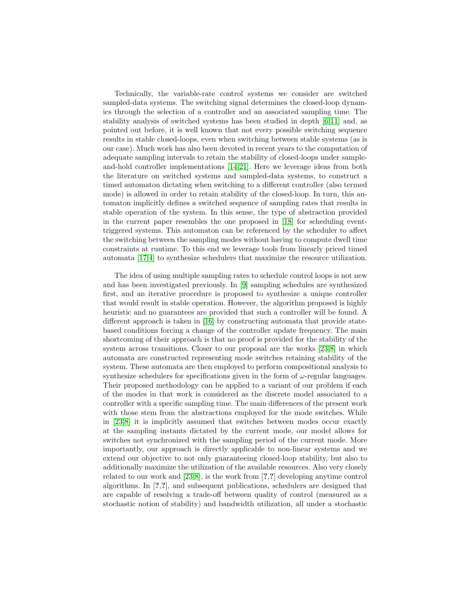Technically, the variable-rate control systems we consider are switched sampled-data systems. The switching signal determines the closed-loop dynamics through the selection of a controller and an associated sampling time. The stability analysis of switched systems has been studied in depth [\[6,](#page-16-1)[11\]](#page-16-2) and, as pointed out before, it is well known that not every possible switching sequence results in stable closed-loops, even when switching between stable systems (as is our case). Much work has also been devoted in recent years to the computation of adequate sampling intervals to retain the stability of closed-loops under sampleand-hold controller implementations [\[14](#page-16-3)[,21\]](#page-17-1). Here we leverage ideas from both the literature on switched systems and sampled-data systems, to construct a timed automaton dictating when switching to a different controller (also termed mode) is allowed in order to retain stability of the closed-loop. In turn, this automaton implicitly defines a switched sequence of sampling rates that results in stable operation of the system. In this sense, the type of abstraction provided in the current paper resembles the one proposed in [\[18\]](#page-17-2) for scheduling eventtriggered systems. This automaton can be referenced by the scheduler to affect the switching between the sampling modes without having to compute dwell time constraints at runtime. To this end we leverage tools from linearly priced timed automata [\[17,](#page-16-4)[4\]](#page-16-5) to synthesize schedulers that maximize the resource utilization.

The idea of using multiple sampling rates to schedule control loops is not new and has been investigated previously. In [\[9\]](#page-16-6) sampling schedules are synthesized first, and an iterative procedure is proposed to synthesize a unique controller that would result in stable operation. However, the algorithm proposed is highly heuristic and no guarantees are provided that such a controller will be found. A different approach is taken in [\[16\]](#page-16-7) by constructing automata that provide statebased conditions forcing a change of the controller update frequency. The main shortcoming of their approach is that no proof is provided for the stability of the system across transitions. Closer to our proposal are the works [\[23,](#page-17-3)[8\]](#page-16-8) in which automata are constructed representing mode switches retaining stability of the system. These automata are then employed to perform compositional analysis to synthesize schedulers for specifications given in the form of  $\omega$ -regular languages. Their proposed methodology can be applied to a variant of our problem if each of the modes in that work is considered as the discrete model associated to a controller with a specific sampling time. The main differences of the present work with those stem from the abstractions employed for the mode switches. While in [\[23,](#page-17-3)[8\]](#page-16-8) it is implicitly assumed that switches between modes occur exactly at the sampling instants dictated by the current mode, our model allows for switches not synchronized with the sampling period of the current mode. More importantly, our approach is directly applicable to non-linear systems and we extend our objective to not only guaranteeing closed-loop stability, but also to additionally maximize the utilization of the available resources. Also very closely related to our work and [\[23](#page-17-3)[,8\]](#page-16-8), is the work from [?,?] developing anytime control algorithms. In [?,?], and subsequent publications, schedulers are designed that are capable of resolving a trade-off between quality of control (measured as a stochastic notion of stability) and bandwidth utilization, all under a stochastic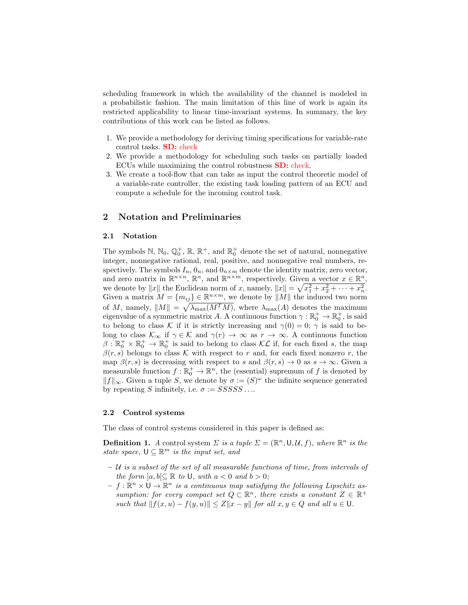scheduling framework in which the availability of the channel is modeled in a probabilistic fashion. The main limitation of this line of work is again its restricted applicability to linear time-invariant systems. In summary, the key contributions of this work can be listed as follows.

- 1. We provide a methodology for deriving timing specifications for variable-rate control tasks. SD: check
- 2. We provide a methodology for scheduling such tasks on partially loaded ECUs while maximizing the control robustness SD: check.
- 3. We create a tool-flow that can take as input the control theoretic model of a variable-rate controller, the existing task loading pattern of an ECU and compute a schedule for the incoming control task.

## 2 Notation and Preliminaries

### 2.1 Notation

The symbols  $\mathbb{N}, \mathbb{N}_0, \mathbb{Q}_0^+, \mathbb{R}, \mathbb{R}^+,$  and  $\mathbb{R}_0^+$  denote the set of natural, nonnegative integer, nonnegative rational, real, positive, and nonnegative real numbers, respectively. The symbols  $I_n$ ,  $0_n$ , and  $0_{n \times m}$  denote the identity matrix, zero vector, and zero matrix in  $\mathbb{R}^{n \times n}$ ,  $\mathbb{R}^n$ , and  $\mathbb{R}^{n \times m}$ , respectively. Given a vector  $x \in \mathbb{R}^n$ , we denote by  $||x||$  the Euclidean norm of x, namely,  $||x|| = \sqrt{x_1^2 + x_2^2 + \cdots + x_n^2}$ . Given a matrix  $M = \{m_{ij}\}\in \mathbb{R}^{n \times m}$ , we denote by  $||M||$  the induced two norm of M, namely,  $||M|| = \sqrt{\lambda_{\max}(M^T M)}$ , where  $\lambda_{\max}(A)$  denotes the maximum eigenvalue of a symmetric matrix A. A continuous function  $\gamma : \mathbb{R}_0^+ \to \mathbb{R}_0^+$ , is said to belong to class K if it is strictly increasing and  $\gamma(0) = 0$ ;  $\gamma$  is said to belong to class  $\mathcal{K}_{\infty}$  if  $\gamma \in \mathcal{K}$  and  $\gamma(r) \to \infty$  as  $r \to \infty$ . A continuous function  $\beta : \mathbb{R}_0^+ \times \mathbb{R}_0^+ \to \mathbb{R}_0^+$  is said to belong to class  $\mathcal{KL}$  if, for each fixed s, the map  $\beta(r, s)$  belongs to class K with respect to r and, for each fixed nonzero r, the map  $\beta(r, s)$  is decreasing with respect to s and  $\beta(r, s) \to 0$  as  $s \to \infty$ . Given a measurable function  $f: \mathbb{R}_0^+ \to \mathbb{R}^n$ , the (essential) supremum of f is denoted by  $||f||_{\infty}$ . Given a tuple S, we denote by  $\sigma := (S)^{\omega}$  the infinite sequence generated by repeating S infinitely, i.e.  $\sigma := SSSSS$ ...

#### 2.2 Control systems

The class of control systems considered in this paper is defined as:

**Definition 1.** A control system  $\Sigma$  is a tuple  $\Sigma = (\mathbb{R}^n, \mathsf{U}, \mathcal{U}, f)$ , where  $\mathbb{R}^n$  is the state space,  $\mathsf{U} \subseteq \mathbb{R}^m$  is the input set, and

- $-$  U is a subset of the set of all measurable functions of time, from intervals of the form  $[a, b] \subseteq \mathbb{R}$  to U, with  $a < 0$  and  $b > 0$ ;
- $f: \mathbb{R}^n \times \mathsf{U} \to \mathbb{R}^n$  is a continuous map satisfying the following Lipschitz assumption: for every compact set  $Q \subset \mathbb{R}^n$ , there exists a constant  $Z \in \mathbb{R}^+$ such that  $||f(x, u) - f(y, u)|| \le Z||x - y||$  for all  $x, y \in Q$  and all  $u \in U$ .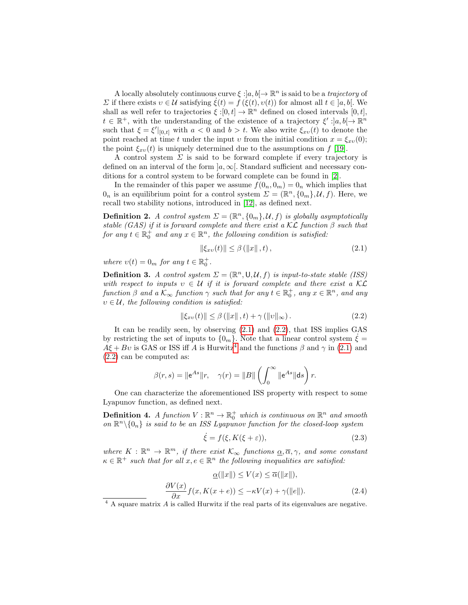A locally absolutely continuous curve  $\xi : ]a, b[ \rightarrow \mathbb{R}^n$  is said to be a *trajectory* of  $Σ$  if there exists  $v ∈ U$  satisfying  $ξ(t) = f (ξ(t), v(t))$  for almost all  $t ∈ [a, b]$ . We shall as well refer to trajectories  $\xi : [0, t] \to \mathbb{R}^n$  defined on closed intervals  $[0, t]$ ,  $t \in \mathbb{R}^+$ , with the understanding of the existence of a trajectory  $\xi' : ]a, b[ \to \mathbb{R}^n$ such that  $\xi = \xi' |_{[0,t]}$  with  $a < 0$  and  $b > t$ . We also write  $\xi_{xv}(t)$  to denote the point reached at time t under the input v from the initial condition  $x = \xi_{xv}(0)$ ; the point  $\xi_{xv}(t)$  is uniquely determined due to the assumptions on f [\[19\]](#page-17-4).

A control system  $\Sigma$  is said to be forward complete if every trajectory is defined on an interval of the form  $|a,\infty|$ . Standard sufficient and necessary conditions for a control system to be forward complete can be found in [\[2\]](#page-16-9).

In the remainder of this paper we assume  $f(0_n, 0_m) = 0_n$  which implies that  $0_n$  is an equilibrium point for a control system  $\Sigma = (\mathbb{R}^n, \{0_m\}, \mathcal{U}, f)$ . Here, we recall two stability notions, introduced in [\[12\]](#page-16-10), as defined next.

**Definition 2.** A control system  $\Sigma = (\mathbb{R}^n, \{0_m\}, \mathcal{U}, f)$  is globally asymptotically stable (GAS) if it is forward complete and there exist a  $\mathcal{KL}$  function  $\beta$  such that for any  $t \in \mathbb{R}_0^+$  and any  $x \in \mathbb{R}^n$ , the following condition is satisfied:

$$
\|\xi_{xv}(t)\| \le \beta \left( \|x\| \, , t \right),\tag{2.1}
$$

where  $v(t) = 0_m$  for any  $t \in \mathbb{R}_0^+$ .

**Definition 3.** A control system  $\Sigma = (\mathbb{R}^n, \mathsf{U}, \mathcal{U}, f)$  is input-to-state stable (ISS) with respect to inputs  $v \in \mathcal{U}$  if it is forward complete and there exist a KC function  $\beta$  and a  $\mathcal{K}_{\infty}$  function  $\gamma$  such that for any  $t \in \mathbb{R}_0^+$ , any  $x \in \mathbb{R}^n$ , and any  $v \in \mathcal{U}$ , the following condition is satisfied:

$$
\|\xi_{xv}(t)\| \le \beta \left( \|x\| \, , t \right) + \gamma \left( \|v\|_{\infty} \right). \tag{2.2}
$$

It can be readily seen, by observing [\(2.1\)](#page-0-0) and [\(2.2\)](#page-0-0), that ISS implies GAS by restricting the set of inputs to  $\{0_m\}$ . Note that a linear control system  $\dot{\xi} =$  $A\xi + Bv$  is GAS or ISS iff A is Hurwitz<sup>[4](#page-0-0)</sup> and the functions  $\beta$  and  $\gamma$  in [\(2.1\)](#page-0-0) and [\(2.2\)](#page-0-0) can be computed as:

$$
\beta(r,s) = \|\mathbf{e}^{As}\|r, \quad \gamma(r) = \|B\| \left( \int_0^\infty \|\mathbf{e}^{As}\| \mathbf{d}s \right) r.
$$

One can characterize the aforementioned ISS property with respect to some Lyapunov function, as defined next.

**Definition 4.** A function  $V : \mathbb{R}^n \to \mathbb{R}^+_0$  which is continuous on  $\mathbb{R}^n$  and smooth on  $\mathbb{R}^n\setminus\{0_n\}$  is said to be an ISS Lyapunov function for the closed-loop system

$$
\dot{\xi} = f(\xi, K(\xi + \varepsilon)),\tag{2.3}
$$

where  $K : \mathbb{R}^n \to \mathbb{R}^m$ , if there exist  $\mathcal{K}_{\infty}$  functions  $\underline{\alpha}, \overline{\alpha}, \gamma$ , and some constant  $\kappa \in \mathbb{R}^+$  such that for all  $x, e \in \mathbb{R}^n$  the following inequalities are satisfied:

$$
\underline{\alpha}(\|x\|) \le V(x) \le \overline{\alpha}(\|x\|),
$$
  

$$
\frac{\partial V(x)}{\partial x} f(x, K(x+e)) \le -\kappa V(x) + \gamma(\|e\|). \tag{2.4}
$$

 $4\,$  A square matrix A is called Hurwitz if the real parts of its eigenvalues are negative.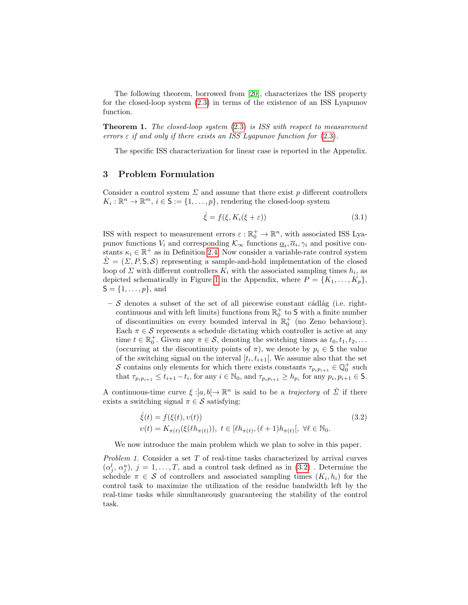The following theorem, borrowed from [\[20\]](#page-17-5), characterizes the ISS property for the closed-loop system [\(2.3\)](#page-0-0) in terms of the existence of an ISS Lyapunov function.

**Theorem 1.** The closed-loop system  $(2.3)$  is ISS with respect to measurement errors  $\varepsilon$  if and only if there exists an ISS Lyapunov function for  $(2.3)$ .

The specific ISS characterization for linear case is reported in the Appendix.

# 3 Problem Formulation

Consider a control system  $\Sigma$  and assume that there exist p different controllers  $K_i: \mathbb{R}^n \to \mathbb{R}^m$ ,  $i \in \mathsf{S} := \{1, \ldots, p\}$ , rendering the closed-loop system

$$
\dot{\xi} = f(\xi, K_i(\xi + \varepsilon))\tag{3.1}
$$

ISS with respect to measurement errors  $\varepsilon : \mathbb{R}_0^+ \to \mathbb{R}^n$ , with associated ISS Lyapunov functions  $V_i$  and corresponding  $\mathcal{K}_{\infty}$  functions  $\underline{\alpha}_i, \overline{\alpha}_i, \gamma_i$  and positive constants  $\kappa_i \in \mathbb{R}^+$  as in Definition [2.4.](#page-0-0) Now consider a variable-rate control system  $\hat{\Sigma} = (\Sigma, P, S, S)$  representing a sample-and-hold implementation of the closed loop of  $\Sigma$  with different controllers  $K_i$  with the associated sampling times  $h_i$ , as depicted schematically in Figure [1](#page-0-0) in the Appendix, where  $P = \{K_1, \ldots, K_p\}$ ,  $S = \{1, ..., p\}$ , and

 $-$  S denotes a subset of the set of all piecewise constant cádlág (i.e. rightcontinuous and with left limits) functions from  $\mathbb{R}^+_0$  to S with a finite number of discontinuities on every bounded interval in  $\mathbb{R}^+_0$  (no Zeno behaviour). Each  $\pi \in \mathcal{S}$  represents a schedule dictating which controller is active at any time  $t \in \mathbb{R}_0^+$ . Given any  $\pi \in \mathcal{S}$ , denoting the switching times as  $t_0, t_1, t_2, \ldots$ (occurring at the discontinuity points of  $\pi$ ), we denote by  $p_i \in \mathsf{S}$  the value of the switching signal on the interval  $[t_i, t_{i+1}]$ . We assume also that the set S contains only elements for which there exists constants  $\tau_{p_ip_{i+1}} \in \mathbb{Q}_0^+$  such that  $\tau_{p_i p_{i+1}} \leq t_{i+1} - t_i$ , for any  $i \in \mathbb{N}_0$ , and  $\tau_{p_i p_{i+1}} \geq h_{p_i}$  for any  $p_i, p_{i+1} \in \mathsf{S}$ .

A continuous-time curve  $\xi : ]a, b[ \to \mathbb{R}^n$  is said to be a *trajectory* of  $\hat{\Sigma}$  if there exists a switching signal  $\pi \in \mathcal{S}$  satisfying:

$$
\begin{aligned} \dot{\xi}(t) &= f(\xi(t), \upsilon(t)) \\ \upsilon(t) &= K_{\pi(t)}(\xi(\ell h_{\pi(t)})), \ t \in [\ell h_{\pi(t)}, (\ell+1)h_{\pi(t)}], \ \forall \ell \in \mathbb{N}_0. \end{aligned} \tag{3.2}
$$

We now introduce the main problem which we plan to solve in this paper.

Problem 1. Consider a set T of real-time tasks characterized by arrival curves  $(\alpha_j^l, \alpha_j^u), j = 1, \ldots, T$ , and a control task defined as in  $(3.2)$ . Determine the schedule  $\pi \in \mathcal{S}$  of controllers and associated sampling times  $(K_i, h_i)$  for the control task to maximize the utilization of the residue bandwidth left by the real-time tasks while simultaneously guaranteeing the stability of the control task.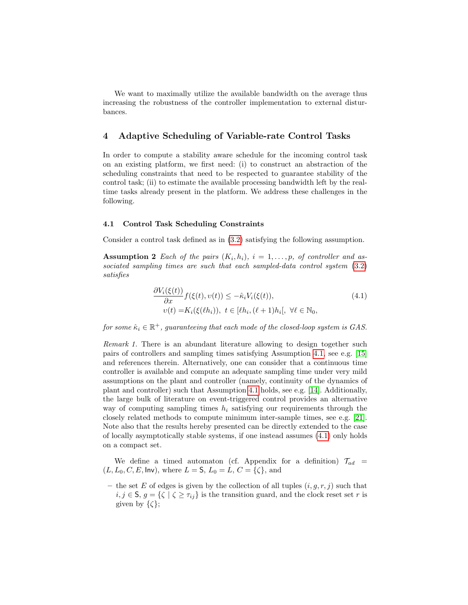We want to maximally utilize the available bandwidth on the average thus increasing the robustness of the controller implementation to external disturbances.

# 4 Adaptive Scheduling of Variable-rate Control Tasks

In order to compute a stability aware schedule for the incoming control task on an existing platform, we first need: (i) to construct an abstraction of the scheduling constraints that need to be respected to guarantee stability of the control task; (ii) to estimate the available processing bandwidth left by the realtime tasks already present in the platform. We address these challenges in the following.

#### 4.1 Control Task Scheduling Constraints

Consider a control task defined as in [\(3.2\)](#page-0-0) satisfying the following assumption.

**Assumption 2** Each of the pairs  $(K_i, h_i)$ ,  $i = 1, \ldots, p$ , of controller and associated sampling times are such that each sampled-data control system [\(3.2\)](#page-0-0) satisfies

$$
\frac{\partial V_i(\xi(t))}{\partial x} f(\xi(t), v(t)) \leq -\hat{\kappa}_i V_i(\xi(t)),
$$
\n
$$
v(t) = K_i(\xi(\ell h_i)), \ t \in [\ell h_i, (\ell+1)h_i], \ \forall \ell \in \mathbb{N}_0,
$$
\n(4.1)

for some  $\hat{\kappa}_i \in \mathbb{R}^+$ , guaranteeing that each mode of the closed-loop system is GAS.

Remark 1. There is an abundant literature allowing to design together such pairs of controllers and sampling times satisfying Assumption [4.1,](#page-0-0) see e.g. [\[15\]](#page-16-11) and references therein. Alternatively, one can consider that a continuous time controller is available and compute an adequate sampling time under very mild assumptions on the plant and controller (namely, continuity of the dynamics of plant and controller) such that Assumption [4.1](#page-0-0) holds, see e.g. [\[14\]](#page-16-3). Additionally, the large bulk of literature on event-triggered control provides an alternative way of computing sampling times  $h_i$  satisfying our requirements through the closely related methods to compute minimum inter-sample times, see e.g. [\[21\]](#page-17-1). Note also that the results hereby presented can be directly extended to the case of locally asymptotically stable systems, if one instead assumes [\(4.1\)](#page-0-0) only holds on a compact set.

We define a timed automaton (cf. Appendix for a definition)  $\mathcal{T}_{ad}$  =  $(L, L_0, C, E, \text{Inv})$ , where  $L = S$ ,  $L_0 = L$ ,  $C = {\{\zeta\}}$ , and

– the set E of edges is given by the collection of all tuples  $(i, g, r, j)$  such that  $i, j \in \mathsf{S}, g = \{\zeta \mid \zeta \geq \tau_{ij}\}$  is the transition guard, and the clock reset set r is given by  $\{\zeta\}$ ;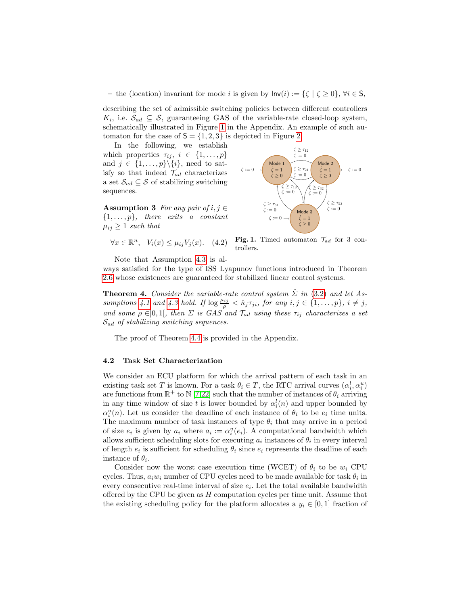– the (location) invariant for mode *i* is given by  $\mathsf{Inv}(i) := \{\zeta \mid \zeta \geq 0\}, \forall i \in \mathsf{S},$ 

describing the set of admissible switching policies between different controllers  $K_i$ , i.e.  $\mathcal{S}_{ad} \subseteq \mathcal{S}$ , guaranteeing GAS of the variable-rate closed-loop system, schematically illustrated in Figure [1](#page-0-0) in the Appendix. An example of such automaton for the case of  $S = \{1, 2, 3\}$  is depicted in Figure [2.](#page-0-0)

In the following, we establish which properties  $\tau_{ij}, i \in \{1, \ldots, p\}$ and  $j \in \{1, \ldots, p\} \backslash \{i\}$ , need to satisfy so that indeed  $\mathcal{T}_{ad}$  characterizes a set  $\mathcal{S}_{ad} \subseteq \mathcal{S}$  of stabilizing switching sequences.

Assumption 3 For any pair of  $i, j \in$  $\{1,\ldots,p\}$ , there exits a constant  $\mu_{ij} \geq 1$  such that

$$
\forall x \in \mathbb{R}^n, \quad V_i(x) \le \mu_{ij} V_j(x). \quad (4.2)
$$



Fig. 1. Timed automaton  $\mathcal{T}_{ad}$  for 3 controllers.

Note that Assumption [4.3](#page-0-0) is al-

ways satisfied for the type of ISS Lyapunov functions introduced in Theorem [2.6](#page-0-0) whose existences are guaranteed for stabilized linear control systems.

**Theorem 4.** Consider the variable-rate control system  $\hat{\Sigma}$  in [\(3.2\)](#page-0-0) and let As-sumptions [4.1](#page-0-0) and [4.3](#page-0-0) hold. If  $\log \frac{\mu_{ij}}{\rho} < \hat{\kappa}_j \tau_{ji}$ , for any  $i, j \in \{1, \ldots, p\}$ ,  $i \neq j$ , and some  $\rho \in ]0,1[$ , then  $\Sigma$  is GAS and  $\mathcal{T}_{ad}$  using these  $\tau_{ij}$  characterizes a set  $\mathcal{S}_{ad}$  of stabilizing switching sequences.

The proof of Theorem [4.4](#page-0-0) is provided in the Appendix.

#### 4.2 Task Set Characterization

We consider an ECU platform for which the arrival pattern of each task in an existing task set T is known. For a task  $\theta_i \in T$ , the RTC arrival curves  $(\alpha_i^l, \alpha_i^u)$ are functions from  $\mathbb{R}^+$  to  $\mathbb{N}$  [\[7](#page-16-12)[,22\]](#page-17-6) such that the number of instances of  $\theta_i$  arriving in any time window of size t is lower bounded by  $\alpha_i^l(n)$  and upper bounded by  $\alpha_i^u(n)$ . Let us consider the deadline of each instance of  $\theta_i$  to be  $e_i$  time units. The maximum number of task instances of type  $\theta_i$  that may arrive in a period of size  $e_i$  is given by  $a_i$  where  $a_i := \alpha_i^u(e_i)$ . A computational bandwidth which allows sufficient scheduling slots for executing  $a_i$  instances of  $\theta_i$  in every interval of length  $e_i$  is sufficient for scheduling  $\theta_i$  since  $e_i$  represents the deadline of each instance of  $\theta_i$ .

Consider now the worst case execution time (WCET) of  $\theta_i$  to be  $w_i$  CPU cycles. Thus,  $a_i w_i$  number of CPU cycles need to be made available for task  $\theta_i$  in every consecutive real-time interval of size  $e_i$ . Let the total available bandwidth offered by the CPU be given as  $H$  computation cycles per time unit. Assume that the existing scheduling policy for the platform allocates a  $y_i \in [0,1]$  fraction of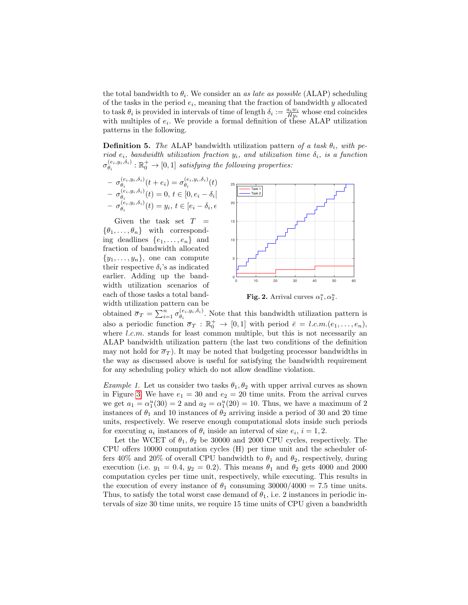the total bandwidth to  $\theta_i$ . We consider an as late as possible (ALAP) scheduling of the tasks in the period  $e_i$ , meaning that the fraction of bandwidth y allocated to task  $\theta_i$  is provided in intervals of time of length  $\delta_i := \frac{a_i w_i}{H y_i}$  whose end coincides with multiples of  $e_i$ . We provide a formal definition of these ALAP utilization patterns in the following.

**Definition 5.** The ALAP bandwidth utilization pattern of a task  $\theta_i$ , with period  $e_i$ , bandwidth utilization fraction  $y_i$ , and utilization time  $\delta_i$ , is a function  $\sigma_{\theta_{i}}^{(e_i,y_i,\delta_i)}$  $\mathcal{C}^{(e_i,y_i,\delta_i)}_{\theta_i} : \mathbb{R}^+_0 \to [0,1]$  satisfying the following properties:

$$
-\sigma_{\theta_i}^{(e_i, y_i, \delta_i)}(t + e_i) = \sigma_{\theta_i}^{(e_i, y_i, \delta_i)}(t)
$$
  

$$
-\sigma_{\theta_i}^{(e_i, y_i, \delta_i)}(t) = 0, t \in [0, e_i - \delta_i]
$$
  

$$
-\sigma_{\theta_i}^{(e_i, y_i, \delta_i)}(t) = y_i, t \in [e_i - \delta_i, \epsilon]
$$

Given the task set  $T =$  $\{\theta_1,\ldots,\theta_n\}$  with corresponding deadlines  $\{e_1, \ldots, e_n\}$  and fraction of bandwidth allocated  $\{y_1, \ldots, y_n\}$ , one can compute their respective  $\delta_i$ 's as indicated earlier. Adding up the bandwidth utilization scenarios of each of those tasks a total bandwidth utilization pattern can be



Fig. 2. Arrival curves  $\alpha_1^u, \alpha_2^u$ .

obtained  $\overline{\sigma}_T = \sum_{i=1}^n \sigma_{\theta_i}^{(e_i, y_i, \delta_i)}$  $\theta_i^{(e_i, y_i, o_i)}$ . Note that this bandwidth utilization pattern is also a periodic function  $\overline{\sigma}_T : \mathbb{R}_0^+ \to [0,1]$  with period  $\overline{e} = l.c.m.(e_1, \ldots, e_n)$ , where *l.c.m.* stands for least common multiple, but this is not necessarily an ALAP bandwidth utilization pattern (the last two conditions of the definition may not hold for  $\overline{\sigma}_T$ ). It may be noted that budgeting processor bandwidths in the way as discussed above is useful for satisfying the bandwidth requirement for any scheduling policy which do not allow deadline violation.

*Example 1.* Let us consider two tasks  $\theta_1, \theta_2$  with upper arrival curves as shown in Figure [3.](#page-0-0) We have  $e_1 = 30$  and  $e_2 = 20$  time units. From the arrival curves we get  $a_1 = \alpha_1^u(30) = 2$  and  $a_2 = \alpha_1^u(20) = 10$ . Thus, we have a maximum of 2 instances of  $\theta_1$  and 10 instances of  $\theta_2$  arriving inside a period of 30 and 20 time units, respectively. We reserve enough computational slots inside such periods for executing  $a_i$  instances of  $\theta_i$  inside an interval of size  $e_i$ ,  $i = 1, 2$ .

Let the WCET of  $\theta_1$ ,  $\theta_2$  be 30000 and 2000 CPU cycles, respectively. The CPU offers 10000 computation cycles (H) per time unit and the scheduler offers 40% and 20% of overall CPU bandwidth to  $\theta_1$  and  $\theta_2$ , respectively, during execution (i.e.  $y_1 = 0.4$ ,  $y_2 = 0.2$ ). This means  $\theta_1$  and  $\theta_2$  gets 4000 and 2000 computation cycles per time unit, respectively, while executing. This results in the execution of every instance of  $\theta_1$  consuming 30000/4000 = 7.5 time units. Thus, to satisfy the total worst case demand of  $\theta_1$ , i.e. 2 instances in periodic intervals of size 30 time units, we require 15 time units of CPU given a bandwidth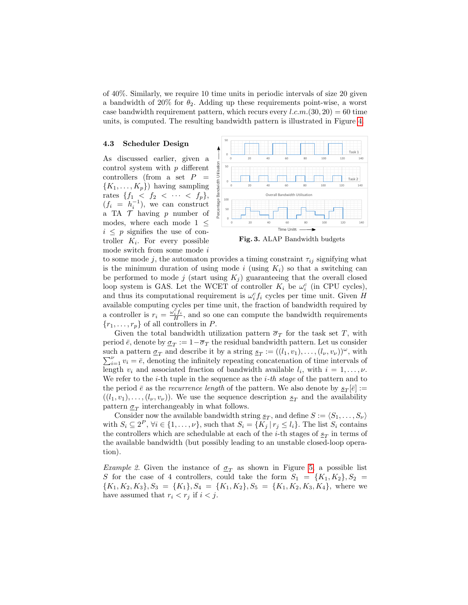of 40%. Similarly, we require 10 time units in periodic intervals of size 20 given a bandwidth of 20% for  $\theta_2$ . Adding up these requirements point-wise, a worst case bandwidth requirement pattern, which recurs every  $l.c.m.(30, 20) = 60$  time units, is computed. The resulting bandwidth pattern is illustrated in Figure [4.](#page-0-0)

#### 4.3 Scheduler Design

As discussed earlier, given a control system with  $p$  different controllers (from a set  $P$  ${K_1, \ldots, K_p}$ ) having sampling rates  $\{f_1 \leq f_2 \leq \cdots \leq f_p\},\$  $(f_i = h_i^{-1}),$  we can construct a TA  $\mathcal T$  having p number of modes, where each mode 1  $\leq$  $i \leq p$  signifies the use of controller  $K_i$ . For every possible mode switch from some mode  $i$ 



Fig. 3. ALAP Bandwidth budgets

to some mode j, the automaton provides a timing constraint  $\tau_{ij}$  signifying what is the minimum duration of using mode i (using  $K_i$ ) so that a switching can be performed to mode j (start using  $K_j$ ) guaranteeing that the overall closed loop system is GAS. Let the WCET of controller  $K_i$  be  $\omega_i^c$  (in CPU cycles), and thus its computational requirement is  $\omega_i^c f_i$  cycles per time unit. Given H available computing cycles per time unit, the fraction of bandwidth required by a controller is  $r_i = \frac{\omega_i^{\xi} f_i}{H}$  $\frac{H^{i} J^{i}}{H}$ , and so one can compute the bandwidth requirements  ${r_1, \ldots, r_p}$  of all controllers in P.

Given the total bandwidth utilization pattern  $\overline{\sigma}_T$  for the task set T, with period  $\bar{e}$ , denote by  $\underline{\sigma}_T := 1 - \overline{\sigma}_T$  the residual bandwidth pattern. Let us consider such a pattern  $\underline{\sigma}_T$  and describe it by a string  $\underline{s}_T := ((l_1, v_1), \ldots, (l_{\nu}, v_{\nu}))^{\omega}$ , with  $\sum_{i=1}^{\nu} v_i = \bar{e}$ , denoting the infinitely repeating concatenation of time intervals of length  $v_i$  and associated fraction of bandwidth available  $l_i$ , with  $i = 1, \ldots, \nu$ . We refer to the  $i$ -th tuple in the sequence as the  $i$ -th stage of the pattern and to the period  $\bar{e}$  as the *recurrence length* of the pattern. We also denote by  $\underline{s}_T[\bar{e}] :=$  $((l_1, v_1), \ldots, (l_{\nu}, v_{\nu}))$ . We use the sequence description  $s_T$  and the availability pattern  $\underline{\sigma}_T$  interchangeably in what follows.

Consider now the available bandwidth string  $s_T$ , and define  $S := \langle S_1, \ldots, S_{\nu} \rangle$ with  $S_i \subseteq 2^P$ ,  $\forall i \in \{1, ..., \nu\}$ , such that  $S_i = \{K_j | r_j \le l_i\}$ . The list  $S_i$  contains the controllers which are schedulable at each of the *i*-th stages of  $\underline{s}_T$  in terms of the available bandwidth (but possibly leading to an unstable closed-loop operation).

*Example 2.* Given the instance of  $\sigma_T$  as shown in Figure [5,](#page-0-0) a possible list S for the case of 4 controllers, could take the form  $S_1 = \{K_1, K_2\}, S_2 =$  ${K_1, K_2, K_3}, S_3 = {K_1}, S_4 = {K_1, K_2}, S_5 = {K_1, K_2, K_3, K_4},$  where we have assumed that  $r_i < r_j$  if  $i < j$ .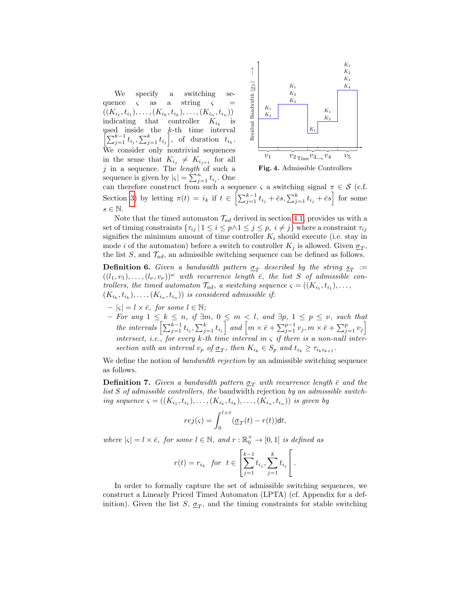We specify a switching sequence  $\varsigma$  as a string  $\varsigma$  =  $((K_{i_1}, t_{i_1}), \ldots, (K_{i_k}, t_{i_k}), \ldots, (K_{i_n}, t_{i_n}))$ indicating that controller  $K_{i_k}$ is used inside the k-th time interval  $\left[\sum_{j=1}^{k-1} t_{i_j}, \sum_{j=1}^{k} t_{i_j}\right]$ , of duration  $t_{i_k}$ . We consider only nontrivial sequences in the sense that  $K_{i_j} \neq K_{i_{j+1}}$  for all  $j$  in a sequence. The *length* of such a sequence is given by  $|\varsigma| = \sum_{j=1}^{n} t_{i_j}$ . One



Fig. 4. Admissible Controllers

can therefore construct from such a sequence  $\varsigma$  a switching signal  $\pi \in \mathcal{S}$  (c.f. Section [3\)](#page-0-0) by letting  $\pi(t) = i_k$  if  $t \in \left[ \sum_{j=1}^{k-1} t_{i_j} + \bar{e}s, \sum_{j=1}^k t_{i_j} + \bar{e}s \right]$  for some  $s \in \mathbb{N}$ .

Note that the timed automaton  $\mathcal{T}_{ad}$  derived in section [4.1,](#page-0-0) provides us with a set of timing constraints  $\{\tau_{ij} | 1 \leq i \leq p \land 1 \leq j \leq p, i \neq j\}$  where a constraint  $\tau_{ij}$ signifies the minimum amount of time controller  $K_i$  should execute (i.e. stay in mode *i* of the automaton) before a switch to controller  $K_j$  is allowed. Given  $\underline{\sigma}_T$ , the list  $S$ , and  $\mathcal{T}_{ad}$ , an admissible switching sequence can be defined as follows.

**Definition 6.** Given a bandwidth pattern  $\underline{\sigma}_T$  described by the string  $\underline{s}_T :=$  $((l_1, v_1), \ldots, (l_{\nu}, v_{\nu}))^{\omega}$  with recurrence length  $\bar{e}$ , the list S of admissible controllers, the timed automaton  $\mathcal{T}_{ad}$ , a switching sequence  $\varsigma = ((K_{i_1}, t_{i_1}), \ldots,$  $(K_{i_k}, t_{i_k}), \ldots, (K_{i_n}, t_{i_n})$  is considered admissible if:

- $|{\varsigma}| = l \times \overline{e}$ , for some  $l \in \mathbb{N}$ ;
- $-$  For any  $1 \leq k \leq n$ , if  $\exists m, 0 \leq m \leq l$ , and  $\exists p, 1 \leq p \leq \nu$ , such that the intervals  $\left[\sum_{j=1}^{k-1} t_{i_j}, \sum_{j=1}^k t_{i_j}\right]$  and  $\left[m \times \bar{e} + \sum_{j=1}^{p-1} v_j, m \times \bar{e} + \sum_{j=1}^p v_j\right]$ intersect, i.e., for every k-th time interval in  $\varsigma$  if there is a non-null intersection with an interval  $v_p$  of  $\underline{\sigma}_T$ , then  $K_{i_k} \in S_p$  and  $t_{i_k} \geq \tau_{i_k i_{k+1}}$ .

We define the notion of *bandwidth rejection* by an admissible switching sequence as follows.

**Definition 7.** Given a bandwidth pattern  $\sigma_T$  with recurrence length  $\bar{e}$  and the list S of admissible controllers, the bandwidth rejection by an admissible switching sequence  $\varsigma = ((K_{i_1}, t_{i_1}), \ldots, (K_{i_k}, t_{i_k}), \ldots, (K_{i_n}, t_{i_n}))$  is given by

$$
rej(\varsigma) = \int_0^{l \times \bar{e}} (\underline{\sigma}_T(t) - r(t)) \mathrm{d}t,
$$

where  $|\varsigma| = l \times \bar{e}$ , for some  $l \in \mathbb{N}$ , and  $r : \mathbb{R}_0^+ \to [0, 1]$  is defined as

$$
r(t) = r_{i_k}
$$
 for  $t \in \left[\sum_{j=1}^{k-1} t_{i_j}, \sum_{j=1}^{k} t_{i_j}\right[$ .

In order to formally capture the set of admissible switching sequences, we construct a Linearly Priced Timed Automaton (LPTA) (cf. Appendix for a definition). Given the list  $S$ ,  $\underline{\sigma}_T$ , and the timing constraints for stable switching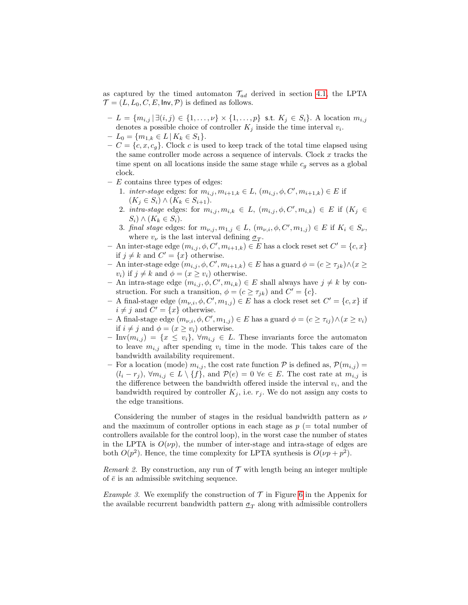as captured by the timed automaton  $\mathcal{T}_{ad}$  derived in section [4.1,](#page-0-0) the LPTA  $\mathcal{T} = (L, L_0, C, E, \mathsf{Inv}, \mathcal{P})$  is defined as follows.

- $-L = \{m_{i,j} | \exists (i,j) \in \{1,\ldots,\nu\} \times \{1,\ldots,p\} \text{ s.t. } K_j \in S_i\}.$  A location  $m_{i,j}$ denotes a possible choice of controller  $K_j$  inside the time interval  $v_i$ .
- $-L_0 = \{m_{1,k} \in L \mid K_k \in S_1\}.$
- $-C = \{c, x, c_q\}$ . Clock c is used to keep track of the total time elapsed using the same controller mode across a sequence of intervals. Clock  $x$  tracks the time spent on all locations inside the same stage while  $c<sub>g</sub>$  serves as a global clock.
- $E$  contains three types of edges:
	- 1. *inter-stage* edges: for  $m_{i,j}, m_{i+1,k} \in L$ ,  $(m_{i,j}, \phi, C', m_{i+1,k}) \in E$  if  $(K_j \in S_i) \wedge (K_k \in S_{i+1}).$
	- 2. intra-stage edges: for  $m_{i,j}, m_{i,k} \in L$ ,  $(m_{i,j}, \phi, C', m_{i,k}) \in E$  if  $(K_j \in$  $S_i) \wedge (K_k \in S_i).$
	- 3. final stage edges: for  $m_{\nu,j}, m_{1,j} \in L$ ,  $(m_{\nu,i}, \phi, C', m_{1,j}) \in E$  if  $K_i \in S_{\nu}$ , where  $v_{\nu}$  is the last interval defining  $\underline{\sigma}_T$ .
- An inter-stage edge  $(m_{i,j}, \phi, C', m_{i+1,k}) \in E$  has a clock reset set  $C' = \{c, x\}$ if  $j \neq k$  and  $C' = \{x\}$  otherwise.
- An inter-stage edge  $(m_{i,j}, \phi, C', m_{i+1,k}) \in E$  has a guard  $\phi = (c ≥ τ<sub>jk</sub>) ∧ (x ≥$  $v_i$ ) if  $j \neq k$  and  $\phi = (x \ge v_i)$  otherwise.
- An intra-stage edge  $(m_{i,j}, \phi, C', m_{i,k})$  ∈ E shall always have  $j \neq k$  by construction. For such a transition,  $\phi = (c \ge \tau_{jk})$  and  $C' = \{c\}.$
- − A final-stage edge  $(m_{\nu,i}, \phi, C', m_{1,j}) \in E$  has a clock reset set  $C' = \{c, x\}$  if  $i \neq j$  and  $C' = \{x\}$  otherwise.
- A final-stage edge  $(m_{\nu,i}, \phi, C', m_{1,j})$  ∈ E has a guard  $\phi = (c ≥ τ_{ij}) ∧ (x ≥ v_i)$ if  $i \neq j$  and  $\phi = (x \geq v_i)$  otherwise.
- Inv $(m_{i,j}) = \{x \leq v_i\}, \forall m_{i,j} \in L$ . These invariants force the automaton to leave  $m_{i,j}$  after spending  $v_i$  time in the mode. This takes care of the bandwidth availability requirement.
- For a location (mode)  $m_{i,j}$ , the cost rate function  $P$  is defined as,  $P(m_{i,j}) =$  $(l_i - r_j)$ ,  $\forall m_{i,j} \in L \setminus \{f\}$ , and  $\mathcal{P}(e) = 0$   $\forall e \in E$ . The cost rate at  $m_{i,j}$  is the difference between the bandwidth offered inside the interval  $v_i$ , and the bandwidth required by controller  $K_j$ , i.e.  $r_j$ . We do not assign any costs to the edge transitions.

Considering the number of stages in the residual bandwidth pattern as  $\nu$ and the maximum of controller options in each stage as  $p$  (= total number of controllers available for the control loop), in the worst case the number of states in the LPTA is  $O(\nu p)$ , the number of inter-stage and intra-stage of edges are both  $O(p^2)$ . Hence, the time complexity for LPTA synthesis is  $O(\nu p + p^2)$ .

Remark 2. By construction, any run of  $\mathcal T$  with length being an integer multiple of  $\bar{e}$  is an admissible switching sequence.

*Example 3.* We exemplify the construction of  $\mathcal T$  in Figure [6](#page-0-0) in the Appenix for the available recurrent bandwidth pattern  $\underline{\sigma}_T$  along with admissible controllers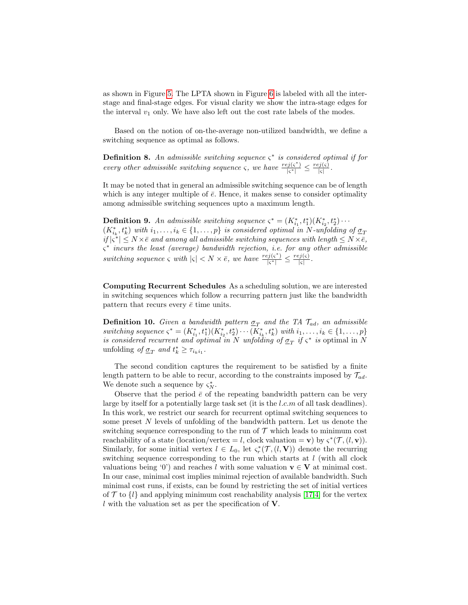as shown in Figure [5.](#page-0-0) The LPTA shown in Figure [6](#page-0-0) is labeled with all the interstage and final-stage edges. For visual clarity we show the intra-stage edges for the interval  $v_1$  only. We have also left out the cost rate labels of the modes.

Based on the notion of on-the-average non-utilized bandwidth, we define a switching sequence as optimal as follows.

**Definition 8.** An admissible switching sequence  $\varsigma^*$  is considered optimal if for every other admissible switching sequence  $\varsigma$ , we have  $\frac{re_j(\varsigma^*)}{|\varsigma^*|} \leq \frac{re_j(\varsigma)}{|\varsigma|}$ .

It may be noted that in general an admissible switching sequence can be of length which is any integer multiple of  $\bar{e}$ . Hence, it makes sense to consider optimality among admissible switching sequences upto a maximum length.

**Definition 9.** An admissible switching sequence  $\varsigma^* = (K_{i_1}^*, t_1^*)(K_{i_2}^*, t_2^*) \cdots$  $(K_{i_k}^*, t_k^*)$  with  $i_1, \ldots, i_k \in \{1, \ldots, p\}$  is considered optimal in N-unfolding of  $\underline{\sigma}_T$  $if |\zeta^*| \leq N \times \bar{e}$  and among all admissible switching sequences with length  $\leq N \times \bar{e}$ , ς ∗ incurs the least (average) bandwidth rejection, i.e. for any other admissible switching sequence  $\varsigma$  with  $|\varsigma| < N \times \bar{e}$ , we have  $\frac{re_j(\varsigma^*)}{|\varsigma^*|} \le \frac{re_j(\varsigma)}{|\varsigma|}$ .

Computing Recurrent Schedules As a scheduling solution, we are interested in switching sequences which follow a recurring pattern just like the bandwidth pattern that recurs every  $\bar{e}$  time units.

**Definition 10.** Given a bandwidth pattern  $\underline{\sigma}_T$  and the TA  $\mathcal{T}_{ad}$ , an admissible switching sequence  $\varsigma^* = (K_{i_1}^*, t_1^*)(K_{i_2}^*, t_2^*) \cdots (K_{i_k}^*, t_k^*)$  with  $i_1, \ldots, i_k \in \{1, \ldots, p\}$ is considered recurrent and optimal in N unfolding of  $\sigma_T$  if  $\zeta^*$  is optimal in N unfolding of  $\underline{\sigma}_T$  and  $t_k^* \geq \tau_{i_k i_1}$ .

The second condition captures the requirement to be satisfied by a finite length pattern to be able to recur, according to the constraints imposed by  $\mathcal{T}_{ad}$ . We denote such a sequence by  $\varsigma_N^*$ .

Observe that the period  $\bar{e}$  of the repeating bandwidth pattern can be very large by itself for a potentially large task set (it is the  $l.c.m$  of all task deadlines). In this work, we restrict our search for recurrent optimal switching sequences to some preset N levels of unfolding of the bandwidth pattern. Let us denote the switching sequence corresponding to the run of  $\mathcal T$  which leads to minimum cost reachability of a state (location/vertex = l, clock valuation = **v**) by  $\varsigma^*(\mathcal{T}, (l, \mathbf{v}))$ . Similarly, for some initial vertex  $l \in L_0$ , let  $\varsigma_r^*(\mathcal{T}, (l, \mathbf{V}))$  denote the recurring switching sequence corresponding to the run which starts at  $l$  (with all clock valuations being '0') and reaches l with some valuation  $\mathbf{v} \in \mathbf{V}$  at minimal cost. In our case, minimal cost implies minimal rejection of available bandwidth. Such minimal cost runs, if exists, can be found by restricting the set of initial vertices of  $\mathcal T$  to  $\{l\}$  and applying minimum cost reachability analysis [\[17,](#page-16-4)[4\]](#page-16-5) for the vertex  $l$  with the valuation set as per the specification of  $V$ .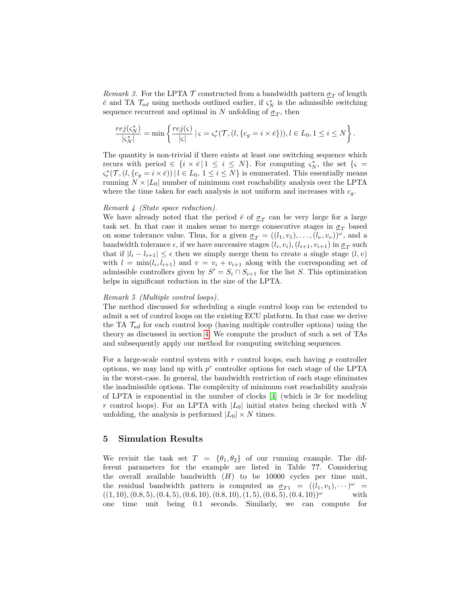Remark 3. For the LPTA  $\mathcal T$  constructed from a bandwidth pattern  $\sigma_T$  of length  $\bar{e}$  and TA  $\mathcal{T}_{ad}$  using methods outlined earlier, if  $\varsigma_N^*$  is the admissible switching sequence recurrent and optimal in N unfolding of  $\underline{\sigma}_T$ , then

$$
\frac{rej(\varsigma_N^*)}{|\varsigma_N^*|} = \min\left\{\frac{rej(\varsigma)}{|\varsigma|} \mid \varsigma = \varsigma_r^*(\mathcal{T}, (l, \{c_g = i \times \bar{e}\})), l \in L_0, 1 \le i \le N\right\}.
$$

The quantity is non-trivial if there exists at least one switching sequence which recurs with period  $\in \{i \times \bar{e} | 1 \leq i \leq N\}$ . For computing  $\varsigma_N^*$ , the set  $\{\varsigma =$  $\varsigma_r^*(\mathcal{T}, (l, \{c_g = i \times \bar{e})) \mid l \in L_0, 1 \leq i \leq N\}$  is enumerated. This essentially means running  $N \times |L_0|$  number of minimum cost reachability analysis over the LPTA where the time taken for each analysis is not uniform and increases with  $c_q$ .

#### Remark 4 (State space reduction).

We have already noted that the period  $\bar{e}$  of  $\underline{\sigma}_T$  can be very large for a large task set. In that case it makes sense to merge consecutive stages in  $\sigma_T$  based on some tolerance value. Thus, for a given  $\underline{\sigma}_T = ((l_1, v_1), \ldots, (l_{\nu}, v_{\nu}))^{\omega}$ , and a bandwidth tolerance  $\epsilon$ , if we have successive stages  $(l_i, v_i)$ ,  $(l_{i+1}, v_{i+1})$  in  $\underline{\sigma}_T$  such that if  $|l_i - l_{i+1}| \leq \epsilon$  then we simply merge them to create a single stage  $(l, v)$ with  $l = \min(l_i, l_{i+1})$  and  $v = v_i + v_{i+1}$  along with the corresponding set of admissible controllers given by  $S' = S_i \cap S_{i+1}$  for the list S. This optimization helps in significant reduction in the size of the LPTA.

#### Remark 5 (Multiple control loops).

The method discussed for scheduling a single control loop can be extended to admit a set of control loops on the existing ECU platform. In that case we derive the TA  $\mathcal{T}_{ad}$  for each control loop (having multiple controller options) using the theory as discussed in section [4.](#page-0-0) We compute the product of such a set of TAs and subsequently apply our method for computing switching sequences.

For a large-scale control system with  $r$  control loops, each having  $p$  controller options, we may land up with  $p^r$  controller options for each stage of the LPTA in the worst-case. In general, the bandwidth restriction of each stage eliminates the inadmissible options. The complexity of minimum cost reachability analysis of LPTA is exponential in the number of clocks  $[4]$  (which is 3r for modeling r control loops). For an LPTA with  $|L_0|$  initial states being checked with N unfolding, the analysis is performed  $|L_0| \times N$  times.

# 5 Simulation Results

We revisit the task set  $T = {\theta_1, \theta_2}$  of our running example. The different parameters for the example are listed in Table ??. Considering the overall available bandwidth  $(H)$  to be 10000 cycles per time unit, the residual bandwidth pattern is computed as  $\sigma_{T_1} = ((l_1, v_1), \cdots)^{\omega}$  $((1, 10), (0.8, 5), (0.4, 5), (0.6, 10), (0.8, 10), (1, 5), (0.6, 5), (0.4, 10))$ <sup>ω</sup> with one time unit being 0.1 seconds. Similarly, we can compute for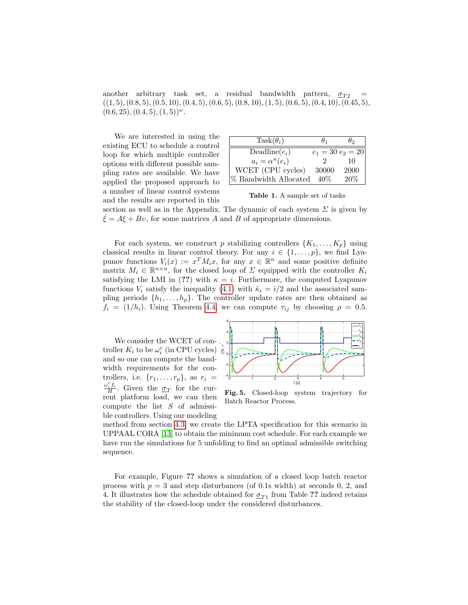another arbitrary task set, a residual bandwidth pattern,  $\sigma_{T2}$  $((1, 5), (0.8, 5), (0.5, 10), (0.4, 5), (0.6, 5), (0.8, 10), (1, 5), (0.6, 5), (0.4, 10), (0.45, 5),$  $(0.6, 25), (0.4, 5), (1, 5))^{\omega}$ .

We are interested in using the existing ECU to schedule a control loop for which multiple controller options with different possible sampling rates are available. We have applied the proposed approach to a number of linear control systems and the results are reported in this

| $Task(\theta_i)$         |        | Hっ                  |
|--------------------------|--------|---------------------|
| $\text{Deadline}(e_i)$   |        | $e_1 = 30 e_2 = 20$ |
| $a_i = \alpha^u(e_i)$    |        | 10                  |
| WCET (CPU cycles)        | 30000  | 2000                |
| $\%$ Bandwidth Allocated | $40\%$ | 20%                 |

Table 1. A sample set of tasks

section as well as in the Appendix. The dynamic of each system  $\Sigma$  is given by  $\dot{\xi} = A\xi + B\upsilon$ , for some matrices A and B of appropriate dimensions.

For each system, we construct p stabilizing controllers  $\{K_1, \ldots, K_p\}$  using classical results in linear control theory. For any  $i \in \{1, \ldots, p\}$ , we find Lyapunov functions  $V_i(x) := x^T M_i x$ , for any  $x \in \mathbb{R}^n$  and some positive definite matrix  $M_i \in \mathbb{R}^{n \times n}$ , for the closed loop of  $\Sigma$  equipped with the controller  $K_i$ satisfying the LMI in (??) with  $\kappa = i$ . Furthermore, the computed Lyapunov functions  $V_i$  satisfy the inequality [\(4.1\)](#page-0-0) with  $\hat{\kappa}_i = i/2$  and the associated sampling periods  $\{h_1, \ldots, h_p\}$ . The controller update rates are then obtained as  $f_i = (1/h_i)$ . Using Theorem [4.4,](#page-0-0) we can compute  $\tau_{ij}$  by choosing  $\rho = 0.5$ .

We consider the WCET of controller  $K_i$  to be  $\omega_i^c$  (in CPU cycles) and so one can compute the bandwidth requirements for the controllers, i.e.  $\{r_1, \ldots, r_p\}$ , as  $r_i =$  $\omega_i^c f_i$  $\frac{iJ_i}{H}$ . Given the  $\underline{\sigma}_T$  for the current platform load, we can then compute the list S of admissible controllers. Using our modeling



Fig. 5. Closed-loop system trajectory for Batch Reactor Process.

method from section [4.3,](#page-0-0) we create the LPTA specification for this scenario in UPPAAL CORA [\[13\]](#page-16-13) to obtain the minimum cost schedule. For each example we have run the simulations for 5 unfolding to find an optimal admissible switching sequence.

For example, Figure ?? shows a simulation of a closed loop batch reactor process with  $p = 3$  and step disturbances (of 0.1s width) at seconds 0, 2, and 4. It illustrates how the schedule obtained for  $\sigma_{T1}$  from Table ?? indeed retains the stability of the closed-loop under the considered disturbances.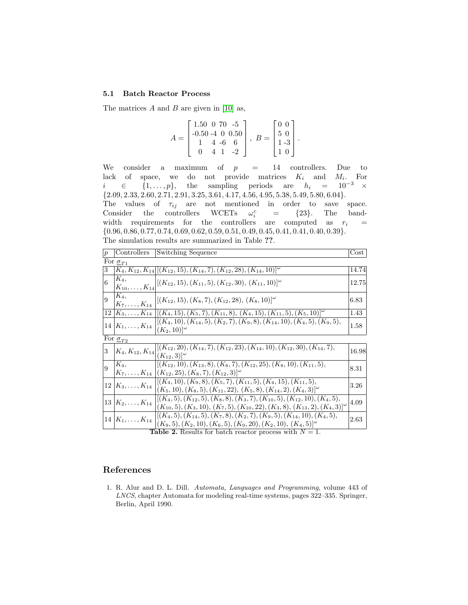#### 5.1 Batch Reactor Process

The matrices  $A$  and  $B$  are given in [\[10\]](#page-16-14) as,

$$
A = \begin{bmatrix} 1.50 & 0 & 70 & -5 \\ -0.50 & 4 & 0 & 0.50 \\ 1 & 4 & -6 & 6 \\ 0 & 4 & 1 & -2 \end{bmatrix}, B = \begin{bmatrix} 0 & 0 \\ 5 & 0 \\ 1 & -3 \\ 1 & 0 \end{bmatrix}.
$$

We consider a maximum of  $p = 14$  controllers. Due to lack of space, we do not provide matrices  $\boldsymbol{K}_i$  and  $M_i$ . For  $i \in \{1, \ldots, p\},\$  the sampling periods are  $h_i = 10^{-3} \times$  $\{2.09, 2.33, 2.60, 2.71, 2.91, 3.25, 3.61, 4.17, 4.56, 4.95, 5.38, 5.49, 5.80, 6.04\}.$ The values of  $\tau_{ij}$  are not mentioned in order to save space.

Consider the controllers WCETs  $\omega_i^c$  $\begin{array}{lll} c_i & = & \{23\}. & \text{The} & \text{band} \end{array}$ width requirements for the controllers are computed as  $r_i =$ {0.96, 0.86, 0.77, 0.74, 0.69, 0.62, 0.59, 0.51, 0.49, 0.45, 0.41, 0.41, 0.40, 0.39}. The simulation results are summarized in Table ??.

| p | Controllers                                                      | Switching Sequence                                                                                                                                                                | $\rm Cost$ |  |  |  |  |  |
|---|------------------------------------------------------------------|-----------------------------------------------------------------------------------------------------------------------------------------------------------------------------------|------------|--|--|--|--|--|
|   | For $\sigma_{T1}$                                                |                                                                                                                                                                                   |            |  |  |  |  |  |
| 3 |                                                                  | $K_4, K_{12}, K_{14}$ $[(K_{12}, 15), (K_{14}, 7), (K_{12}, 28), (K_{14}, 10)]^{\omega}$                                                                                          | 14.74      |  |  |  |  |  |
| 6 | $K_4$                                                            | $\begin{bmatrix} K_{10},\ldots,K_{14} \end{bmatrix} [(K_{12},15),(K_{11},5),(K_{12},30),(K_{11},10)]^{\omega}$                                                                    | 12.75      |  |  |  |  |  |
| 9 | $ K_4 $<br>$K_7, \ldots, K_{14}$                                 | $[(K_{12}, 15), (K_8, 7), (K_{12}, 28), (K_8, 10)]^{\omega}$                                                                                                                      | 6.83       |  |  |  |  |  |
|   |                                                                  | $12   K_3, \ldots, K_{14}   [(K_4, 15), (K_5, 7), (K_{11}, 8), (K_4, 15), (K_{11}, 5), (K_5, 10)]^{\omega}$                                                                       | 1.43       |  |  |  |  |  |
|   | $14 K_1,\ldots,K_{14} $                                          | $[(K_4, 10), (K_{14}, 5), (K_2, 7), (K_9, 8), (K_{14}, 10), (K_4, 5), (K_9, 5),$<br>$(K_2, 10)$ <sup>[<math>\omega</math></sup>                                                   | 1.58       |  |  |  |  |  |
|   | For $\sigma_{T2}$                                                |                                                                                                                                                                                   |            |  |  |  |  |  |
| 3 | $K_4, K_{12}, K_{14}$                                            | $  (K_{12}, 20), (K_{14}, 7), (K_{12}, 23), (K_{14}, 10), (K_{12}, 30), (K_{14}, 7),$<br>$(K_{12}, 3)^{ \omega }$                                                                 | 16.98      |  |  |  |  |  |
| 9 | $ K_4,$                                                          | $  (K_{12}, 10), (K_{13}, 8), (K_8, 7), (K_{12}, 25), (K_8, 10), (K_{11}, 5),$<br>$K_7,\ldots,K_{14}$ $\vert (K_{12},25),(K_8,7),(K_{12},3)\vert^{\omega}$                        | 8.31       |  |  |  |  |  |
|   | $12 K_3,\ldots,K_{14}$                                           | $[(K_4, 10), (K_9, 8), (K_5, 7), (K_{11}, 5), (K_4, 15), (K_{11}, 5),$<br>$(K_5, 10), (K_8, 5), (K_{11}, 22), (K_5, 8), (K_{14}, 2), (K_4, 3)$ <sup>[2]</sup>                     | $3.26\,$   |  |  |  |  |  |
|   | $13 K_2,\ldots,K_{14}$                                           | $[(K_4, 5), (K_{12}, 5), (K_8, 8), (K_3, 7), (K_{10}, 5), (K_{12}, 10), (K_4, 5),$<br>$(K_{10}, 5), (K_3, 10), (K_7, 5), (K_{10}, 22), (K_3, 8), (K_{13}, 2), (K_4, 3)]^{\omega}$ | 4.09       |  |  |  |  |  |
|   | $14 K_1,\ldots,K_{14} $                                          | $[(K_4,5), (K_{14},5), (K_7,8), (K_2,7), (K_9,5), (K_{14},10), (K_4,5),$<br>$(K_9,5), (K_2,10), (K_6,5), (K_9,20), (K_2,10), (K_4,5) \approx$                                     | 2.63       |  |  |  |  |  |
|   | <b>Table 2.</b> Results for batch reactor process with $N = 1$ . |                                                                                                                                                                                   |            |  |  |  |  |  |

References

<span id="page-15-0"></span>1. R. Alur and D. L. Dill. Automata, Languages and Programming, volume 443 of LNCS, chapter Automata for modeling real-time systems, pages 322–335. Springer, Berlin, April 1990.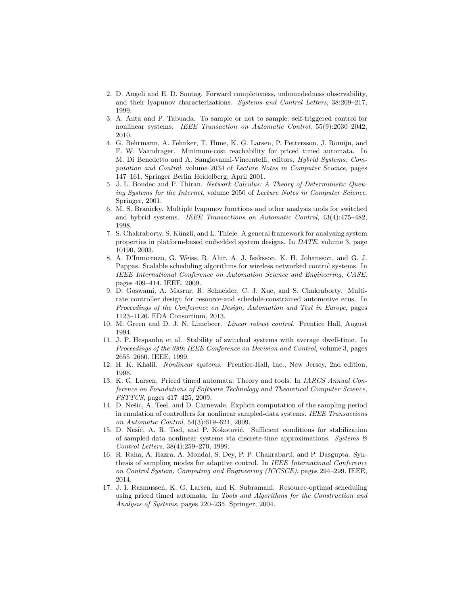- <span id="page-16-9"></span>2. D. Angeli and E. D. Sontag. Forward completeness, unboundedness observability, and their lyapunov characterizations. Systems and Control Letters, 38:209–217, 1999.
- <span id="page-16-0"></span>3. A. Anta and P. Tabuada. To sample or not to sample: self-triggered control for nonlinear systems. IEEE Transaction on Automatic Control, 55(9):2030–2042, 2010.
- <span id="page-16-5"></span>4. G. Behrmann, A. Fehnker, T. Hune, K. G. Larsen, P. Pettersson, J. Romijn, and F. W. Vaandrager. Minimum-cost reachability for priced timed automata. In M. Di Benedetto and A. Sangiovanni-Vincentelli, editors, Hybrid Systems: Computation and Control, volume 2034 of Lecture Notes in Computer Science, pages 147–161. Springer Berlin Heidelberg, April 2001.
- <span id="page-16-15"></span>5. J. L. Boudec and P. Thiran. Network Calculus: A Theory of Deterministic Queuing Systems for the Internet, volume 2050 of Lecture Notes in Computer Science. Springer, 2001.
- <span id="page-16-1"></span>6. M. S. Branicky. Multiple lyapunov functions and other analysis tools for switched and hybrid systems. IEEE Transactions on Automatic Control, 43(4):475–482, 1998.
- <span id="page-16-12"></span>7. S. Chakraborty, S. Künzli, and L. Thiele. A general framework for analysing system properties in platform-based embedded system designs. In DATE, volume 3, page 10190, 2003.
- <span id="page-16-8"></span>8. A. D'Innocenzo, G. Weiss, R. Alur, A. J. Isaksson, K. H. Johansson, and G. J. Pappas. Scalable scheduling algorithms for wireless networked control systems. In IEEE International Conference on Automation Science and Engineering, CASE, pages 409–414. IEEE, 2009.
- <span id="page-16-6"></span>9. D. Goswami, A. Masrur, R. Schneider, C. J. Xue, and S. Chakraborty. Multirate controller design for resource-and schedule-constrained automotive ecus. In Proceedings of the Conference on Design, Automation and Test in Europe, pages 1123–1126. EDA Consortium, 2013.
- <span id="page-16-14"></span>10. M. Green and D. J. N. Limebeer. Linear robust control. Prentice Hall, August 1994.
- <span id="page-16-2"></span>11. J. P. Hespanha et al. Stability of switched systems with average dwell-time. In Proceedings of the 38th IEEE Conference on Decision and Control, volume 3, pages 2655–2660. IEEE, 1999.
- <span id="page-16-10"></span>12. H. K. Khalil. Nonlinear systems. Prentice-Hall, Inc., New Jersey, 2nd edition, 1996.
- <span id="page-16-13"></span>13. K. G. Larsen. Priced timed automata: Theory and tools. In IARCS Annual Conference on Foundations of Software Technology and Theoretical Computer Science, FSTTCS, pages 417–425, 2009.
- <span id="page-16-3"></span>14. D. Nešic, A. Teel, and D. Carnevale. Explicit computation of the sampling period in emulation of controllers for nonlinear sampled-data systems. IEEE Transactions on Automatic Control, 54(3):619–624, 2009.
- <span id="page-16-11"></span>15. D. Nešić, A. R. Teel, and P. Kokotović. Sufficient conditions for stabilization of sampled-data nonlinear systems via discrete-time approximations. Systems  $\mathcal{C}$ Control Letters, 38(4):259–270, 1999.
- <span id="page-16-7"></span>16. R. Raha, A. Hazra, A. Mondal, S. Dey, P. P. Chakrabarti, and P. Dasgupta. Synthesis of sampling modes for adaptive control. In IEEE International Conference on Control System, Computing and Engineering (ICCSCE), pages 294–299. IEEE, 2014.
- <span id="page-16-4"></span>17. J. I. Rasmussen, K. G. Larsen, and K. Subramani. Resource-optimal scheduling using priced timed automata. In Tools and Algorithms for the Construction and Analysis of Systems, pages 220–235. Springer, 2004.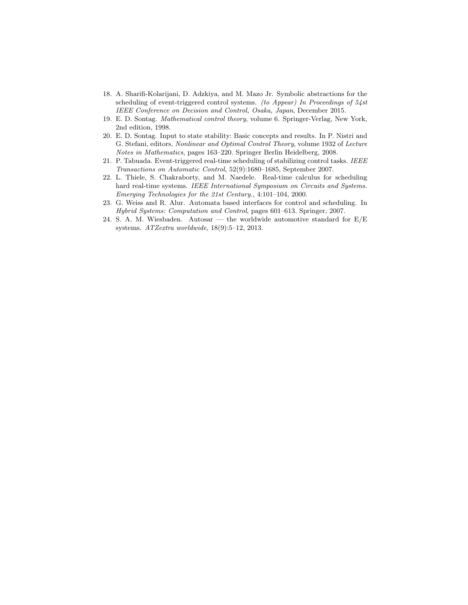- <span id="page-17-2"></span>18. A. Sharifi-Kolarijani, D. Adzkiya, and M. Mazo Jr. Symbolic abstractions for the scheduling of event-triggered control systems. (to Appear) In Proceedings of 54st IEEE Conference on Decision and Control, Osaka, Japan, December 2015.
- <span id="page-17-4"></span>19. E. D. Sontag. Mathematical control theory, volume 6. Springer-Verlag, New York, 2nd edition, 1998.
- <span id="page-17-5"></span>20. E. D. Sontag. Input to state stability: Basic concepts and results. In P. Nistri and G. Stefani, editors, Nonlinear and Optimal Control Theory, volume 1932 of Lecture Notes in Mathematics, pages 163–220. Springer Berlin Heidelberg, 2008.
- <span id="page-17-1"></span>21. P. Tabuada. Event-triggered real-time scheduling of stabilizing control tasks. IEEE Transactions on Automatic Control, 52(9):1680–1685, September 2007.
- <span id="page-17-6"></span>22. L. Thiele, S. Chakraborty, and M. Naedele. Real-time calculus for scheduling hard real-time systems. IEEE International Symposium on Circuits and Systems. Emerging Technologies for the 21st Century., 4:101–104, 2000.
- <span id="page-17-3"></span>23. G. Weiss and R. Alur. Automata based interfaces for control and scheduling. In Hybrid Systems: Computation and Control, pages 601–613. Springer, 2007.
- <span id="page-17-0"></span>24. S. A. M. Wiesbaden. Autosar — the worldwide automotive standard for  $E/E$ systems. ATZextra worldwide, 18(9):5–12, 2013.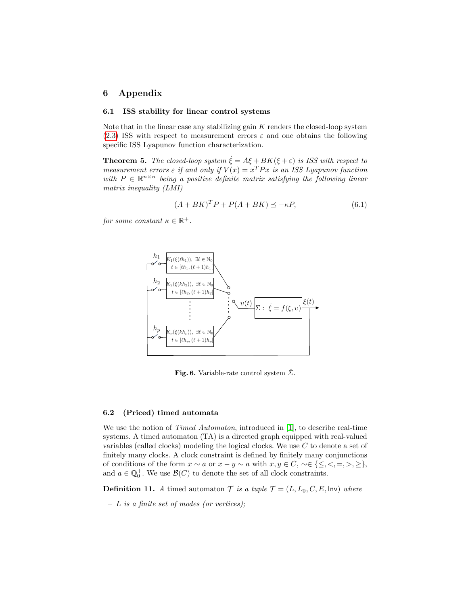# 6 Appendix

#### 6.1 ISS stability for linear control systems

Note that in the linear case any stabilizing gain  $K$  renders the closed-loop system [\(2.3\)](#page-0-0) ISS with respect to measurement errors  $\varepsilon$  and one obtains the following specific ISS Lyapunov function characterization.

**Theorem 5.** The closed-loop system  $\dot{\xi} = A\xi + BK(\xi + \varepsilon)$  is ISS with respect to measurement errors  $\varepsilon$  if and only if  $V(x) = x^T P x$  is an ISS Lyapunov function with  $P \in \mathbb{R}^{n \times n}$  being a positive definite matrix satisfying the following linear matrix inequality (LMI)

$$
(A + BK)^{T}P + P(A + BK) \preceq -\kappa P, \tag{6.1}
$$

for some constant  $\kappa \in \mathbb{R}^+$ .



Fig. 6. Variable-rate control system  $\hat{\Sigma}$ .

## 6.2 (Priced) timed automata

We use the notion of *Timed Automaton*, introduced in [\[1\]](#page-15-0), to describe real-time systems. A timed automaton (TA) is a directed graph equipped with real-valued variables (called clocks) modeling the logical clocks. We use C to denote a set of finitely many clocks. A clock constraint is defined by finitely many conjunctions of conditions of the form  $x \sim a$  or  $x - y \sim a$  with  $x, y \in C, \sim \in \{\leq, \leq, =, >, \geq\},\$ and  $a \in \mathbb{Q}_0^+$ . We use  $\mathcal{B}(C)$  to denote the set of all clock constraints.

**Definition 11.** A timed automaton  $\mathcal{T}$  is a tuple  $\mathcal{T} = (L, L_0, C, E, \text{Inv})$  where

 $- L$  is a finite set of modes (or vertices);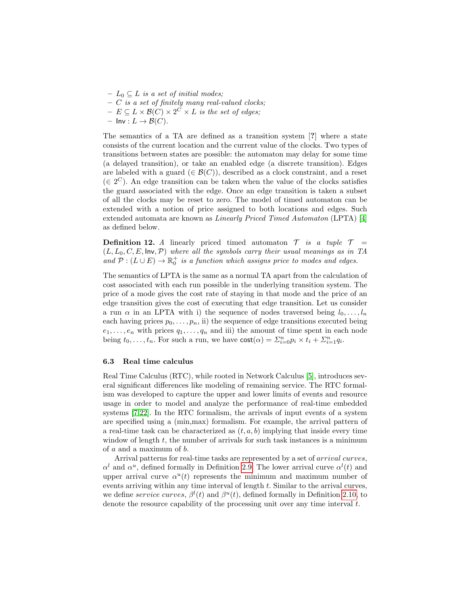- $L_0 \subseteq L$  is a set of initial modes;
- $-$  C is a set of finitely many real-valued clocks;
- $E \subseteq L \times \mathcal{B}(C) \times 2^C \times L$  is the set of edges;
- $\mathsf{Inv}: L \to \mathcal{B}(C).$

The semantics of a TA are defined as a transition system [?] where a state consists of the current location and the current value of the clocks. Two types of transitions between states are possible: the automaton may delay for some time (a delayed transition), or take an enabled edge (a discrete transition). Edges are labeled with a guard  $(\in \mathcal{B}(C))$ , described as a clock constraint, and a reset  $(\in 2^C)$ . An edge transition can be taken when the value of the clocks satisfies the guard associated with the edge. Once an edge transition is taken a subset of all the clocks may be reset to zero. The model of timed automaton can be extended with a notion of price assigned to both locations and edges. Such extended automata are known as Linearly Priced Timed Automaton (LPTA) [\[4\]](#page-16-5) as defined below.

**Definition 12.** A linearly priced timed automaton  $\mathcal{T}$  is a tuple  $\mathcal{T}$  $(L, L_0, C, E, \text{Inv}, \mathcal{P})$  where all the symbols carry their usual meanings as in TA and  $\mathcal{P}: (L \cup E) \to \mathbb{R}_0^+$  is a function which assigns price to modes and edges.

The semantics of LPTA is the same as a normal TA apart from the calculation of cost associated with each run possible in the underlying transition system. The price of a mode gives the cost rate of staying in that mode and the price of an edge transition gives the cost of executing that edge transition. Let us consider a run  $\alpha$  in an LPTA with i) the sequence of nodes traversed being  $l_0, \ldots, l_n$ each having prices  $p_0, \ldots, p_n$ , ii) the sequence of edge transitions executed being  $e_1, \ldots, e_n$  with prices  $q_1, \ldots, q_n$  and iii) the amount of time spent in each node being  $t_0, \ldots, t_n$ . For such a run, we have  $\text{cost}(\alpha) = \sum_{i=0}^n p_i \times t_i + \sum_{i=1}^n q_i$ .

#### 6.3 Real time calculus

Real Time Calculus (RTC), while rooted in Network Calculus [\[5\]](#page-16-15), introduces several significant differences like modeling of remaining service. The RTC formalism was developed to capture the upper and lower limits of events and resource usage in order to model and analyze the performance of real-time embedded systems [\[7,](#page-16-12)[22\]](#page-17-6). In the RTC formalism, the arrivals of input events of a system are specified using a (min,max) formalism. For example, the arrival pattern of a real-time task can be characterized as  $(t, a, b)$  implying that inside every time window of length  $t$ , the number of arrivals for such task instances is a minimum of a and a maximum of b.

Arrival patterns for real-time tasks are represented by a set of arrival curves,  $\alpha^{l}$  and  $\alpha^{u}$ , defined formally in Definition [2.9.](#page-0-0) The lower arrival curve  $\alpha^{l}(t)$  and upper arrival curve  $\alpha^u(t)$  represents the minimum and maximum number of events arriving within any time interval of length t. Similar to the arrival curves, we define service curves,  $\beta^{l}(t)$  and  $\beta^{u}(t)$ , defined formally in Definition [2.10,](#page-0-0) to denote the resource capability of the processing unit over any time interval  $t$ .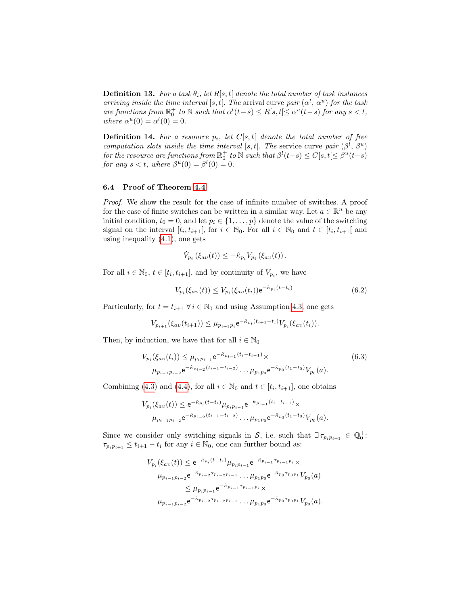**Definition 13.** For a task  $\theta_i$ , let R[s, t[ denote the total number of task instances arriving inside the time interval [s, t[. The arrival curve pair  $(\alpha^l, \alpha^u)$  for the task are functions from  $\mathbb{R}^+$  to  $\mathbb N$  such that  $\alpha^l(t-s) \leq R[s, t[ \leq \alpha^u(t-s)]$  for any  $s < t$ , where  $\alpha^u(0) = \alpha^l(0) = 0$ .

**Definition 14.** For a resource  $p_i$ , let  $C[s, t]$  denote the total number of free computation slots inside the time interval [s, t[. The service curve pair  $(\beta^l, \beta^u)$ for the resource are functions from  $\mathbb{R}^+_0$  to  $\mathbb N$  such that  $\beta^l(t-s) \leq C[s,t[\leq \beta^u(t-s)]$ for any  $s < t$ , where  $\beta^u(0) = \beta^l(0) = 0$ .

#### 6.4 Proof of Theorem [4.4](#page-0-0)

Proof. We show the result for the case of infinite number of switches. A proof for the case of finite switches can be written in a similar way. Let  $a \in \mathbb{R}^n$  be any initial condition,  $t_0 = 0$ , and let  $p_i \in \{1, ..., p\}$  denote the value of the switching signal on the interval  $[t_i, t_{i+1}[,$  for  $i \in \mathbb{N}_0$ . For all  $i \in \mathbb{N}_0$  and  $t \in [t_i, t_{i+1}[$  and using inequality [\(4.1\)](#page-0-0), one gets

$$
\dot{V}_{p_i}\left(\xi_{av}(t)\right) \leq -\hat{\kappa}_{p_i}V_{p_i}\left(\xi_{av}(t)\right).
$$

For all  $i \in \mathbb{N}_0$ ,  $t \in [t_i, t_{i+1}]$ , and by continuity of  $V_{p_i}$ , we have

$$
V_{p_i}(\xi_{av}(t)) \le V_{p_i}(\xi_{av}(t_i)) e^{-\hat{\kappa}_{p_i}(t-t_i)}.
$$
\n(6.2)

Particularly, for  $t = t_{i+1}$   $\forall i \in \mathbb{N}_0$  and using Assumption [4.3,](#page-0-0) one gets

$$
V_{p_{i+1}}(\xi_{av}(t_{i+1})) \leq \mu_{p_{i+1}p_i} e^{-\hat{\kappa}_{p_i}(t_{i+1}-t_i)} V_{p_i}(\xi_{av}(t_i)).
$$

Then, by induction, we have that for all  $i \in \mathbb{N}_0$ 

$$
V_{p_i}(\xi_{av}(t_i)) \le \mu_{p_i p_{i-1}} e^{-\hat{\kappa}_{p_{i-1}}(t_i - t_{i-1})} \times
$$
  
\n
$$
\mu_{p_{i-1} p_{i-2}} e^{-\hat{\kappa}_{p_{i-2}}(t_{i-1} - t_{i-2})} \dots \mu_{p_1 p_0} e^{-\hat{\kappa}_{p_0}(t_1 - t_0)} V_{p_0}(a).
$$
\n(6.3)

Combining [\(4.3\)](#page-0-0) and [\(4.4\)](#page-0-0), for all  $i \in \mathbb{N}_0$  and  $t \in [t_i, t_{i+1}]$ , one obtains

$$
V_{p_i}(\xi_{av}(t)) \le e^{-\hat{\kappa}_{p_i}(t-t_i)} \mu_{p_i p_{i-1}} e^{-\hat{\kappa}_{p_{i-1}}(t_i - t_{i-1})} \times
$$
  

$$
\mu_{p_{i-1}p_{i-2}} e^{-\hat{\kappa}_{p_{i-2}}(t_{i-1} - t_{i-2})} \dots \mu_{p_1 p_0} e^{-\hat{\kappa}_{p_0}(t_1 - t_0)} V_{p_0}(a).
$$

Since we consider only switching signals in S, i.e. such that  $\exists \tau_{p_i p_{i+1}} \in \mathbb{Q}_0^+$ :  $\tau_{p_i p_{i+1}} \leq t_{i+1} - t_i$  for any  $i \in \mathbb{N}_0$ , one can further bound as:

$$
V_{p_i}(\xi_{av}(t)) \le e^{-\hat{\kappa}_{p_i}(t-t_i)} \mu_{p_i p_{i-1}} e^{-\hat{\kappa}_{p_{i-1}} \tau_{p_{i-1} p_i}} \times
$$
  
\n
$$
\mu_{p_{i-1} p_{i-2}} e^{-\hat{\kappa}_{p_{i-2}} \tau_{p_{i-2} p_{i-1}}} \dots \mu_{p_1 p_0} e^{-\hat{\kappa}_{p_0} \tau_{p_0 p_1}} V_{p_0}(a)
$$
  
\n
$$
\le \mu_{p_i p_{i-1}} e^{-\hat{\kappa}_{p_{i-1}} \tau_{p_{i-1} p_i}} \times
$$
  
\n
$$
\mu_{p_{i-1} p_{i-2}} e^{-\hat{\kappa}_{p_{i-2}} \tau_{p_{i-2} p_{i-1}}} \dots \mu_{p_1 p_0} e^{-\hat{\kappa}_{p_0} \tau_{p_0 p_1}} V_{p_0}(a).
$$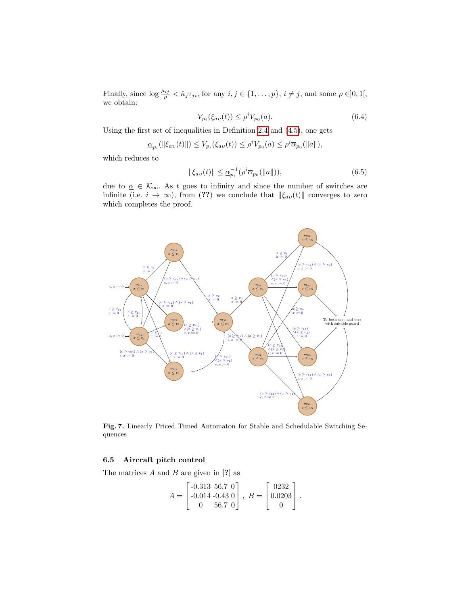Finally, since  $\log \frac{\mu_{ij}}{\rho} < \hat{\kappa}_j \tau_{ji}$ , for any  $i, j \in \{1, \ldots, p\}$ ,  $i \neq j$ , and some  $\rho \in ]0,1[,$ we obtain:

$$
V_{p_i}(\xi_{av}(t)) \le \rho^i V_{p_0}(a). \tag{6.4}
$$

Using the first set of inequalities in Definition [2.4](#page-0-0) and [\(4.5\)](#page-0-0), one gets

$$
\underline{\alpha}_{p_i}(\|\xi_{av}(t)\|) \le V_{p_i}(\xi_{av}(t)) \le \rho^i V_{p_0}(a) \le \rho^i \overline{\alpha}_{p_0}(\|a\|),
$$

which reduces to

$$
\|\xi_{av}(t)\| \le \underline{\alpha}_{p_i}^{-1} (\rho^i \overline{\alpha}_{p_0}(\|a\|)),\tag{6.5}
$$

due to  $\underline{\alpha} \in \mathcal{K}_{\infty}$ . As t goes to infinity and since the number of switches are infinite (i.e.  $i \to \infty$ ), from (??) we conclude that  $\|\xi_{av}(t)\|$  converges to zero which completes the proof.



Fig. 7. Linearly Priced Timed Automaton for Stable and Schedulable Switching Sequences

#### 6.5 Aircraft pitch control

The matrices  $A$  and  $B$  are given in [?] as

$$
A = \begin{bmatrix} -0.313 & 56.7 & 0 \\ -0.014 & -0.43 & 0 \\ 0 & 56.7 & 0 \end{bmatrix}, B = \begin{bmatrix} 0232 \\ 0.0203 \\ 0 \end{bmatrix}.
$$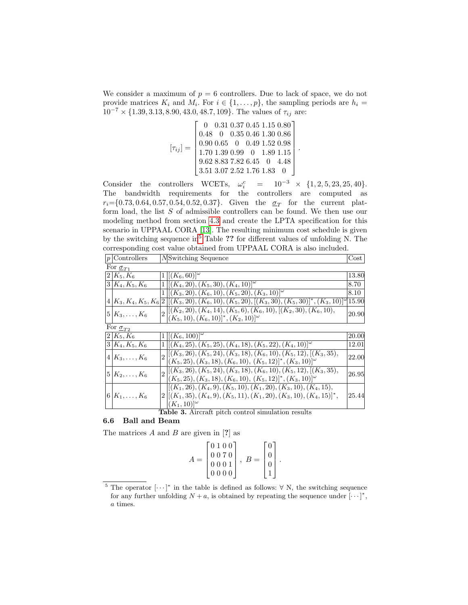We consider a maximum of  $p = 6$  controllers. Due to lack of space, we do not provide matrices  $K_i$  and  $M_i$ . For  $i \in \{1, \ldots, p\}$ , the sampling periods are  $h_i =$  $10^{-7}\times\{1.39, 3.13, 8.90, 43.0, 48.7, 109\}.$  The values of  $\tau_{ij}$  are:

$$
[\tau_{ij}] = \begin{bmatrix} 0 & 0.31 & 0.37 & 0.45 & 1.15 & 0.80 \\ 0.48 & 0 & 0.35 & 0.46 & 1.30 & 0.86 \\ 0.90 & 0.65 & 0 & 0.49 & 1.52 & 0.98 \\ 1.70 & 1.39 & 0.99 & 0 & 1.89 & 1.15 \\ 9.62 & 8.83 & 7.82 & 6.45 & 0 & 4.48 \\ 3.51 & 3.07 & 2.52 & 1.76 & 1.83 & 0 \end{bmatrix}
$$

.

Consider the controllers WCETs,  $\omega_i^c$  $= 10^{-3} \times \{1, 2, 5, 23, 25, 40\}.$ The bandwidth requirements for the controllers are computed as  $r_i = \{0.73, 0.64, 0.57, 0.54, 0.52, 0.37\}.$  Given the  $\sigma_T$  for the current platform load, the list S of admissible controllers can be found. We then use our modeling method from section [4.3](#page-0-0) and create the LPTA specification for this scenario in UPPAAL CORA [\[13\]](#page-16-13). The resulting minimum cost schedule is given by the switching sequence in<sup>[5](#page-0-0)</sup> Table ?? for different values of unfolding N. The corresponding cost value obtained from UPPAAL CORA is also included.

| $ p $ Controllers   |  | MSwitching Sequence                                                                                            | Cost <sub>1</sub> |  |  |  |
|---------------------|--|----------------------------------------------------------------------------------------------------------------|-------------------|--|--|--|
| For $\sigma_{T1}$   |  |                                                                                                                |                   |  |  |  |
| $2 K_5,K_6 $        |  | $1\left[ (K_6, 60) \right]^{\omega}$                                                                           | 13.80             |  |  |  |
| $3 K_4, K_5, K_6$   |  | $1    (K_4, 20), (K_5, 30), (K_4, 10)  ^{\omega}$                                                              | 8.70              |  |  |  |
|                     |  | $1    (K_3, 20), (K_6, 10), (K_5, 20), (K_3, 10)  ^{\omega}$                                                   | $8.10\,$          |  |  |  |
|                     |  | $4 K_3, K_4, K_5, K_6 2 [(K_3, 20), (K_6, 10), (K_5, 20), [(K_3, 30), (K_5, 30)]^*, (K_3, 10) ^{\omega}$ 15.90 |                   |  |  |  |
| $5 K_3,\ldots,K_6 $ |  | $_{0}$ $\vert [(K_2, 20), (K_4, 14), (K_5, 6), (K_6, 10), [(K_2, 30), (K_6, 10),$                              | 20.90             |  |  |  |
|                     |  | $(K_5, 10), (K_6, 10)^{*}, (K_2, 10)^{\omega}$                                                                 |                   |  |  |  |
| For $\sigma_{T2}$   |  |                                                                                                                |                   |  |  |  |
| $2 K_5,K_6 $        |  | $1\vert [(K_6, 100)]^\omega$                                                                                   | 20.00             |  |  |  |
| $3 K_4, K_5, K_6$   |  | $1    (K_4, 25), (K_5, 25), (K_4, 18), (K_5, 22), (K_4, 10)  ^{\omega}$                                        | 12.01             |  |  |  |
| $4 K_3,\ldots,K_6 $ |  | $  (K_3, 26), (K_5, 24), (K_3, 18), (K_6, 10), (K_5, 12), [(K_3, 35),$                                         | 22.00             |  |  |  |
|                     |  | $(K_5, 25), (K_3, 18), (K_6, 10), (K_5, 12)^{*}, (K_3, 10)^{\omega}$                                           |                   |  |  |  |
| $5 K_2,\ldots,K_6 $ |  | $  (K_3, 26), (K_5, 24), (K_3, 18), (K_6, 10), (K_5, 12), [(K_3, 35),$                                         | 26.95             |  |  |  |
|                     |  | $(K_5, 25), (K_3, 18), (K_6, 10), (K_5, 12)^{*}, (K_3, 10)^{\omega}$                                           |                   |  |  |  |
|                     |  | $[(K_1, 26), (K_4, 9), (K_5, 10), (K_1, 20), (K_3, 10), (K_4, 15),$                                            |                   |  |  |  |
| $6 K_1,\ldots,K_6 $ |  | $2[[(K_1,35), (K_4,9), (K_5,11), (K_1,20), (K_3,10), (K_4,15)]^*$                                              | 25.44             |  |  |  |
|                     |  | $(K_1, 10)$ <sup>"</sup>                                                                                       |                   |  |  |  |
|                     |  | Table 2 Aircraft pitch control cimulation recults                                                              |                   |  |  |  |

Table 3. Aircraft pitch control simulation results

# 6.6 Ball and Beam

The matrices  $A$  and  $B$  are given in [?] as

$$
A = \begin{bmatrix} 0 & 1 & 0 & 0 \\ 0 & 0 & 7 & 0 \\ 0 & 0 & 0 & 1 \\ 0 & 0 & 0 & 0 \end{bmatrix}, \ B = \begin{bmatrix} 0 \\ 0 \\ 0 \\ 1 \end{bmatrix}.
$$

<sup>&</sup>lt;sup>5</sup> The operator  $[\cdots]^*$  in the table is defined as follows:  $\forall N$ , the switching sequence for any further unfolding  $N + a$ , is obtained by repeating the sequence under  $\cdots$ <sup>\*</sup>, a times.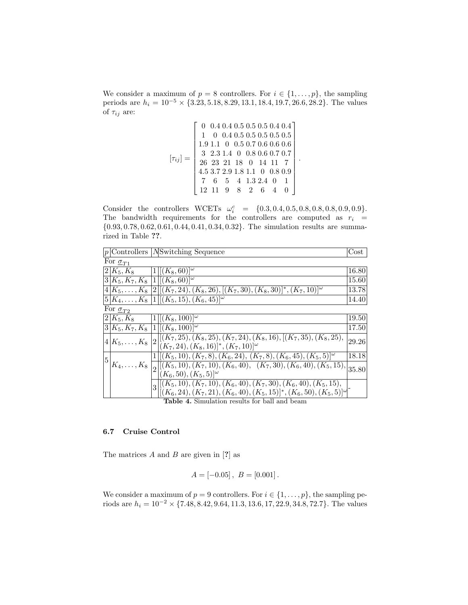We consider a maximum of  $p = 8$  controllers. For  $i \in \{1, \ldots, p\}$ , the sampling periods are  $h_i = 10^{-5} \times \{3.23, 5.18, 8.29, 13.1, 18.4, 19.7, 26.6, 28.2\}$ . The values of  $\tau_{ij}$  are:

$$
[\tau_{ij}] = \begin{bmatrix} 0 & 0.4 & 0.4 & 0.5 & 0.5 & 0.5 & 0.4 & 0.4 \\ 1 & 0 & 0.4 & 0.5 & 0.5 & 0.5 & 0.5 & 0.5 \\ 1.9 & 1.1 & 0 & 0.5 & 0.7 & 0.6 & 0.6 & 0.6 \\ 3 & 2.3 & 1.4 & 0 & 0.8 & 0.6 & 0.7 & 0.7 \\ 26 & 23 & 21 & 18 & 0 & 14 & 11 & 7 \\ 4.5 & 3.7 & 2.9 & 1.8 & 1.1 & 0 & 0.8 & 0.9 \\ 7 & 6 & 5 & 4 & 1.3 & 2.4 & 0 & 1 \\ 12 & 11 & 9 & 8 & 2 & 6 & 4 & 0 \end{bmatrix}
$$

.

Consider the controllers WCETs  $\omega_i^c = \{0.3, 0.4, 0.5, 0.8, 0.8, 0.8, 0.9, 0.9\}.$ The bandwidth requirements for the controllers are computed as  $r_i$  = {0.93, 0.78, 0.62, 0.61, 0.44, 0.41, 0.34, 0.32}. The simulation results are summarized in Table ??.

|   |                      | $ p $ Controllers   NSwitching Sequence                                                                                                                               | $\cos t$ |
|---|----------------------|-----------------------------------------------------------------------------------------------------------------------------------------------------------------------|----------|
|   | For $\sigma_{T1}$    |                                                                                                                                                                       |          |
|   | $2 K_5,K_8 $         | $ 1 [(K_8, 60)]^{\omega}$                                                                                                                                             | 16.80    |
|   |                      | $ 3 K_5, K_7, K_8 1 [(K_8, 60)]^\omega$                                                                                                                               | 15.60    |
|   |                      | $\left[4 K_5,\ldots,K_8 2 [(K_7,24),(K_8,26),[(K_7,30),(K_8,30)]^*,(K_7,10) ^{\omega}\right]$                                                                         | 13.78    |
|   |                      | $5 K_4,\ldots,K_8 1 [(K_5,15),(K_6,45)]^\omega$                                                                                                                       | 14.40    |
|   | For $\sigma_{T2}$    |                                                                                                                                                                       |          |
|   | $2 K_5,K_8 $         | $[1] [(K_8, 100)]^{\omega}$                                                                                                                                           | 19.50    |
|   |                      | $3 K_5, K_7, K_8 1 [(K_8, 100)]^{\omega}$                                                                                                                             | 17.50    |
|   | $ 4 K_5,\ldots,K_8 $ | $\left  2\right  [(K_7,25), (K_8,25), (K_7,24), (K_8,16), [(K_7,35), (K_8,25),$<br>$ (K_7, 24), (K_8, 16) ^*, (K_7, 10) ^{\omega}$                                    | 29.26    |
| 5 |                      | $1 [(K_5,10), (K_7,8), (K_6,24), (K_7,8), (K_6,45), (K_5,5)]^{\omega}$                                                                                                | 18.18    |
|   |                      | $K_4, \ldots, K_8 \left[ 2 \right] \left[ (K_5, 10), (K_7, 10), (K_6, 40), (K_7, 30), (K_6, 40), (K_5, 15),$<br>$(K_6, 50), (K_5, 5)$ <sup>[<math>\omega</math></sup> | 35.80    |
|   |                      | $  (K_5, 10), (K_7, 10), (K_6, 40), (K_7, 30), (K_6, 40), (K_5, 15),$<br>3                                                                                            |          |
|   |                      | $[(K_6, 24), (K_7, 21), (K_6, 40), (K_5, 15)]^*, (K_6, 50), (K_5, 5)]^{\omega}$                                                                                       |          |
|   |                      | <b>Table 4.</b> Simulation results for ball and beam                                                                                                                  |          |

## 6.7 Cruise Control

The matrices  $A$  and  $B$  are given in [?] as

$$
A = [-0.05], B = [0.001].
$$

We consider a maximum of  $p = 9$  controllers. For  $i \in \{1, ..., p\}$ , the sampling periods are  $h_i = 10^{-2} \times \{7.48, 8.42, 9.64, 11.3, 13.6, 17, 22.9, 34.8, 72.7\}$ . The values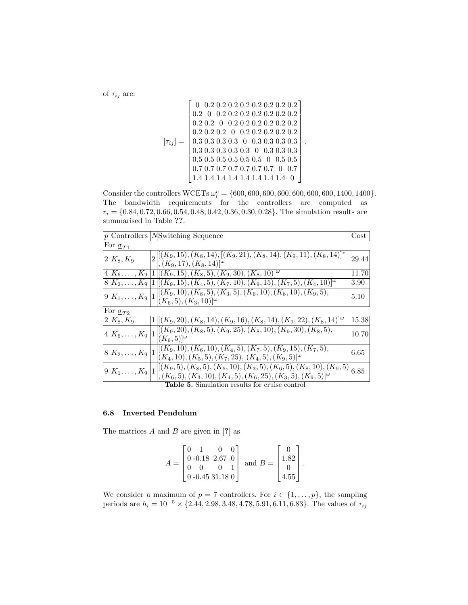of  $\tau_{ij}$  are:

 0 0.2 0.2 0.2 0.2 0.2 0.2 0.2 0.2 0.2 0 0.2 0.2 0.2 0.2 0.2 0.2 0.2 0.2 0.2 0 0.2 0.2 0.2 0.2 0.2 0.2 0.2 0.2 0.2 0 0.2 0.2 0.2 0.2 0.2 [τij ] = 0.3 0.3 0.3 0.3 0 0.3 0.3 0.3 0.3 . 0.3 0.3 0.3 0.3 0.3 0 0.3 0.3 0.3 0.5 0.5 0.5 0.5 0.5 0.5 0 0.5 0.5 0.7 0.7 0.7 0.7 0.7 0.7 0.7 0 0.7 1.4 1.4 1.4 1.4 1.4 1.4 1.4 1.4 0 

Consider the controllers WCETs  $\omega_i^c = \{600, 600, 600, 600, 600, 600, 600, 1400, 1400\}.$ The bandwidth requirements for the controllers are computed as  $r_i = \{0.84, 0.72, 0.66, 0.54, 0.48, 0.42, 0.36, 0.30, 0.28\}$ . The simulation results are summarised in Table ??.

|                                                       |  | $ p $ Controllers $N$ Switching Sequence                                                                                                               | Cost  |  |  |  |
|-------------------------------------------------------|--|--------------------------------------------------------------------------------------------------------------------------------------------------------|-------|--|--|--|
| For $\sigma_{T1}$                                     |  |                                                                                                                                                        |       |  |  |  |
| $ 2 K_8,K_9 $                                         |  | $\mathcal{L}_{\mathbf{Q}}[(K_9, 15), (K_8, 14), [(K_9, 21), (K_8, 14), (K_9, 11), (K_8, 14)]^*$<br>$\vert$ , $(K_9, 17), (K_8, 14) \vert^{\omega}$     | 29.44 |  |  |  |
|                                                       |  | $(4 K_6,\ldots,K_9 1 [(K_9,15),(K_8,5),(K_9,30),(K_8,10)]^\omega$                                                                                      | 11.70 |  |  |  |
|                                                       |  | $ 8 K_2,\ldots,K_9 1 [(K_9,15),(K_4,5),(K_7,10),(K_9,15),(K_7,5),(K_4,10)]^\omega$                                                                     | 3.90  |  |  |  |
| $ 9 K_1,\ldots,K_9 $                                  |  | $[[(K_9,10), (K_8,5), (K_3,5), (K_6,10), (K_8,10), (K_9,5),$<br>$(K_6, 5), (K_3, 10)$ <sup>[<math>\omega</math></sup> ]                                | 5.10  |  |  |  |
| For $\sigma_{T2}$                                     |  |                                                                                                                                                        |       |  |  |  |
| $ 2 K_8,K_9 $                                         |  | $1\vert [(K_9, 20), (K_8, 14), (K_9, 16), (K_8, 14), (K_9, 22), (K_8, 14)]^{\omega}$                                                                   | 15.38 |  |  |  |
| $ 4 K_6,\ldots,K_9 $                                  |  | $[(K_9, 20), (K_8, 5), (K_9, 25), (K_8, 10), (K_9, 30), (K_8, 5),$<br>$(K_9,5) ^{\omega}$                                                              | 10.70 |  |  |  |
| $ 8 K_2,\ldots,K_9 $                                  |  | $[[(K_9,10), (K_6,10), (K_4,5), (K_7,5), (K_9,15), (K_7,5),$<br>$(K_4, 10), (K_5, 5), (K_7, 25), (K_4, 5), (K_9, 5)$ <sup>[<math>\omega</math></sup> ] | 6.65  |  |  |  |
| $ 9 K_1,\ldots,K_9 $                                  |  | $ [(K_9,5),(K_8,5),(K_5,10),(K_3,5),(K_6,5),(K_8,10),(K_9,5) $<br>$\big( (K_6, 5), (K_3, 10), (K_4, 5), (K_6, 25), (K_3, 5), (K_9, 5) \big)^\omega$    | 6.85  |  |  |  |
| <b>Table 5.</b> Simulation results for cruise control |  |                                                                                                                                                        |       |  |  |  |

#### 6.8 Inverted Pendulum

The matrices  $A$  and  $B$  are given in [?] as

$$
A = \begin{bmatrix} 0 & 1 & 0 & 0 \\ 0 & -0.18 & 2.67 & 0 \\ 0 & 0 & 0 & 1 \\ 0 & -0.45 & 31.18 & 0 \end{bmatrix} \text{ and } B = \begin{bmatrix} 0 \\ 1.82 \\ 0 \\ 4.55 \end{bmatrix}.
$$

We consider a maximum of  $p = 7$  controllers. For  $i \in \{1, \ldots, p\}$ , the sampling periods are  $h_i = 10^{-5} \times \{2.44, 2.98, 3.48, 4.78, 5.91, 6.11, 6.83\}$ . The values of  $\tau_{ij}$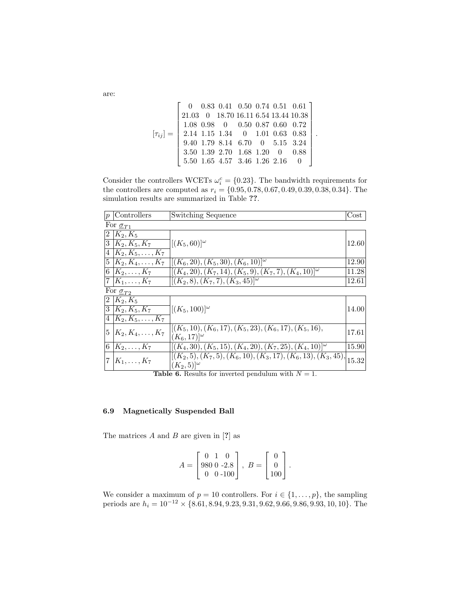$$
[\tau_{ij}] = \begin{bmatrix} 0 & 0.83 & 0.41 & 0.50 & 0.74 & 0.51 & 0.61 \\ 21.03 & 0 & 18.70 & 16.11 & 6.54 & 13.44 & 10.38 \\ 1.08 & 0.98 & 0 & 0.50 & 0.87 & 0.60 & 0.72 \\ 2.14 & 1.15 & 1.34 & 0 & 1.01 & 0.63 & 0.83 \\ 9.40 & 1.79 & 8.14 & 6.70 & 0 & 5.15 & 3.24 \\ 3.50 & 1.39 & 2.70 & 1.68 & 1.20 & 0 & 0.88 \\ 5.50 & 1.65 & 4.57 & 3.46 & 1.26 & 2.16 & 0 \end{bmatrix}.
$$

Consider the controllers WCETs  $\omega_i^c = \{0.23\}$ . The bandwidth requirements for the controllers are computed as  $r_i = \{0.95, 0.78, 0.67, 0.49, 0.39, 0.38, 0.34\}$ . The simulation results are summarized in Table ??.

| p              | Controllers                   | Switching Sequence                                                                                                                                                                                                                                                                                                     | $Cost \mid$ |  |  |  |  |
|----------------|-------------------------------|------------------------------------------------------------------------------------------------------------------------------------------------------------------------------------------------------------------------------------------------------------------------------------------------------------------------|-------------|--|--|--|--|
|                | For $\sigma_{T1}$             |                                                                                                                                                                                                                                                                                                                        |             |  |  |  |  |
| $\overline{2}$ | $ K_2,K_5 $                   |                                                                                                                                                                                                                                                                                                                        |             |  |  |  |  |
| 3              | $ K_2, K_5, K_7 $             | $\vert[(K_5,60)\vert^\omega]$                                                                                                                                                                                                                                                                                          | 12.60       |  |  |  |  |
| 4              | $ K_2, K_5, \ldots, K_7 $     |                                                                                                                                                                                                                                                                                                                        |             |  |  |  |  |
|                | $5   K_2, K_4, \ldots, K_7  $ | $[(K_6, 20), (K_5, 30), (K_6, 10)]^{\omega}$                                                                                                                                                                                                                                                                           | 12.90       |  |  |  |  |
|                | $ 6 K_2,\ldots,K_7 $          | $[(K_4, 20), (K_7, 14), (K_5, 9), (K_7, 7), (K_4, 10)]^{\omega}$                                                                                                                                                                                                                                                       | 11.28       |  |  |  |  |
| $7\phantom{.}$ | $ K_1,\ldots,K_7 $            | $[(K_2,8), (K_7,7), (K_3,45)]^{\omega}$                                                                                                                                                                                                                                                                                | 12.61       |  |  |  |  |
|                | For $\sigma_{T2}$             |                                                                                                                                                                                                                                                                                                                        |             |  |  |  |  |
| 2              | $ K_2,K_5 $                   |                                                                                                                                                                                                                                                                                                                        |             |  |  |  |  |
| 3              | $K_2, K_5, K_7$               | $[(K_5, 100)]^{\omega}$                                                                                                                                                                                                                                                                                                | 14.00       |  |  |  |  |
| 4              | $ K_2, K_5, \ldots, K_7 $     |                                                                                                                                                                                                                                                                                                                        |             |  |  |  |  |
| 5              | $ K_2, K_4, \ldots, K_7 $     | $[(K_5, 10), (K_6, 17), (K_5, 23), (K_6, 17), (K_5, 16),$                                                                                                                                                                                                                                                              | 17.61       |  |  |  |  |
|                |                               | $(K_6, 17)$ <sup>[<math>\omega</math></sup>                                                                                                                                                                                                                                                                            |             |  |  |  |  |
| 6              | $ K_2,\ldots,K_7 $            | $[(K_4, 30), (K_5, 15), (K_4, 20), (K_7, 25), (K_4, 10)]^{\omega}$                                                                                                                                                                                                                                                     | 15.90       |  |  |  |  |
| 7              | $ K_1,\ldots,K_7 $            | $\frac{\left[\left(K_{2},5\right),\left(K_{7},5\right),\left(K_{6},10\right),\left(K_{3},17\right),\left(K_{6},13\right),\left(K_{3},45\right)\right]}{\left[\left(K_{2},5\right),\left(K_{7},5\right),\left(K_{6},10\right),\left(K_{3},17\right),\left(K_{6},13\right),\left(K_{3},45\right)\right]}\right _{15.32}$ |             |  |  |  |  |
|                |                               | $(K_2,5) ^{\omega}$<br>$\mathbf{1}$<br>                                                                                                                                                                                                                                                                                |             |  |  |  |  |

**Table 6.** Results for inverted pendulum with  $N = 1$ .

# 6.9 Magnetically Suspended Ball

The matrices  $A$  and  $B$  are given in [?] as

$$
A = \begin{bmatrix} 0 & 1 & 0 \\ 980 & 0 & -2.8 \\ 0 & 0 & -100 \end{bmatrix}, \ B = \begin{bmatrix} 0 \\ 0 \\ 100 \end{bmatrix}.
$$

We consider a maximum of  $p = 10$  controllers. For  $i \in \{1, \ldots, p\}$ , the sampling periods are  $h_i = 10^{-12} \times \{8.61, 8.94, 9.23, 9.31, 9.62, 9.66, 9.86, 9.93, 10, 10\}$ . The

are: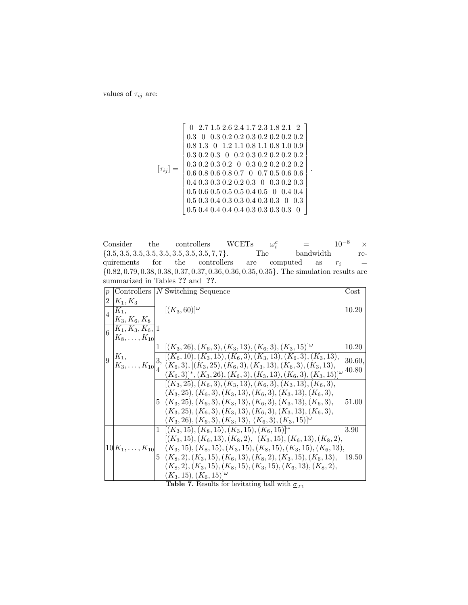values of  $\tau_{ij}$  are:

$$
[\tau_{ij}]=\left[\begin{array}{cccccccc} 0 & 2.7 & 1.5 & 2.6 & 2.4 & 1.7 & 2.3 & 1.8 & 2.1 & 2 \\ 0.3 & 0 & 0.3 & 0.2 & 0.2 & 0.3 & 0.2 & 0.2 & 0.2 & 0.2 \\ 0.8 & 1.3 & 0 & 1.2 & 1.1 & 0.8 & 1.1 & 0.8 & 1.0 & 0.9 \\ 0.3 & 0.2 & 0.3 & 0 & 0.2 & 0.3 & 0.2 & 0.2 & 0.2 & 0.2 \\ 0.3 & 0.2 & 0.3 & 0.2 & 0 & 0.3 & 0.2 & 0.2 & 0.2 & 0.2 \\ 0.6 & 0.8 & 0.6 & 0.8 & 0.7 & 0 & 0.7 & 0.5 & 0.6 & 0.6 \\ 0.4 & 0.3 & 0.3 & 0.2 & 0.2 & 0.3 & 0 & 0.3 & 0.2 & 0.3 \\ 0.5 & 0.6 & 0.5 & 0.5 & 0.4 & 0.5 & 0 & 0.4 & 0.4 \\ 0.5 & 0.3 & 0.4 & 0.3 & 0.3 & 0.4 & 0.3 & 0.3 & 0 & 0.3 \\ 0.5 & 0.4 & 0.4 & 0.4 & 0.4 & 0.3 & 0.3 & 0.3 & 0.3 & 0 \end{array}\right].
$$

Consider the controllers WCETs  $\omega_i^c$  $= 10^{-8} \quad \times \hbox{bandwidth}$ {3.5, 3.5, 3.5, 3.5, 3.5, 3.5, 3.5, 3.5, 7, 7}. The bandwidth requirements for the controllers are computed as  $r_i =$ {0.82, 0.79, 0.38, 0.38, 0.37, 0.37, 0.36, 0.36, 0.35, 0.35}. The simulation results are summarized in Tables ?? and ??.

| $\boldsymbol{p}$ |                                                 |    | Controllers  N Switching Sequence                                                                 | Cost     |
|------------------|-------------------------------------------------|----|---------------------------------------------------------------------------------------------------|----------|
| $2^{\circ}$      | $ K_1, K_3 $                                    |    |                                                                                                   |          |
| $\overline{4}$   | $ K_1,$                                         |    | $[(K_3, 60)]^{\omega}$                                                                            | 10.20    |
|                  | $K_3, K_6, K_8$                                 |    |                                                                                                   |          |
|                  | $\big _6 \, \frac{K_1, K_3, K_6,}{K_1} \big  1$ |    |                                                                                                   |          |
|                  | $[K_8, \ldots, K_{10}]$                         |    |                                                                                                   |          |
|                  |                                                 |    | $1 \vert [(K_3, 26), (K_6, 3), (K_3, 13), (K_6, 3), (K_3, 15)]^{\omega}$                          | 10.20    |
| 9                | $ K_1,$                                         | 3, | $\left\lbrack\left(K_{6},10),(K_{3},15),(K_{6},3),(K_{3},13),(K_{6},3),(K_{3},13),\right.\right.$ | 30.60,   |
|                  | $ K_3,\ldots,K_{10} _A^{\cup}$                  |    | $ (K_6,3),[(K_3,25),(K_6,3),(K_3,13),(K_6,3),(K_3,13),$                                           | 40.80    |
|                  |                                                 |    | $(K_6,3]^*, (K_3,26), (K_6,3), (K_3,13), (K_6,3), (K_3,15)$ <sup>[<math>\omega</math></sup> ]     |          |
|                  |                                                 |    | $[(K_3, 25), (K_6, 3), (K_3, 13), (K_6, 3), (K_3, 13), (K_6, 3),$                                 |          |
|                  |                                                 |    | $(K_3, 25), (K_6, 3), (K_3, 13), (K_6, 3), (K_3, 13), (K_6, 3),$                                  |          |
|                  |                                                 |    | $5 (K_3, 25), (K_6, 3), (K_3, 13), (K_6, 3), (K_3, 13), (K_6, 3),$                                | 51.00    |
|                  |                                                 |    | $(K_3, 25), (K_6, 3), (K_3, 13), (K_6, 3), (K_3, 13), (K_6, 3),$                                  |          |
|                  |                                                 |    | $(K_3, 26), (K_6, 3), (K_3, 13), (K_6, 3), (K_3, 15)$                                             |          |
|                  |                                                 |    | $1 \mid [(K_3, 15), (K_8, 15), (K_3, 15), (K_6, 15)]^{\omega}$                                    | $3.90\,$ |
|                  |                                                 |    | $[(K_3, 15), (K_6, 13), (K_8, 2), (K_3, 15), (K_6, 13), (K_8, 2),$                                |          |
|                  |                                                 |    | $10 K_1,\ldots,K_{10}  \quad  (K_3,15),(K_8,15),(K_3,15),(K_8,15),(K_3,15),(K_6,13) $             |          |
|                  |                                                 |    | $5 (K_8,2),(K_3,15),(K_6,13),(K_8,2),(K_3,15),(K_6,13),$                                          | 19.50    |
|                  |                                                 |    | $ (K_8, 2), (K_3, 15), (K_8, 15), (K_3, 15), (K_6, 13), (K_8, 2),$                                |          |
|                  |                                                 |    | $(K_3, 15), (K_6, 15)$ <sup>[<math>\omega</math></sup> ]                                          |          |

Table 7. Results for levitating ball with  $\sigma_{T1}$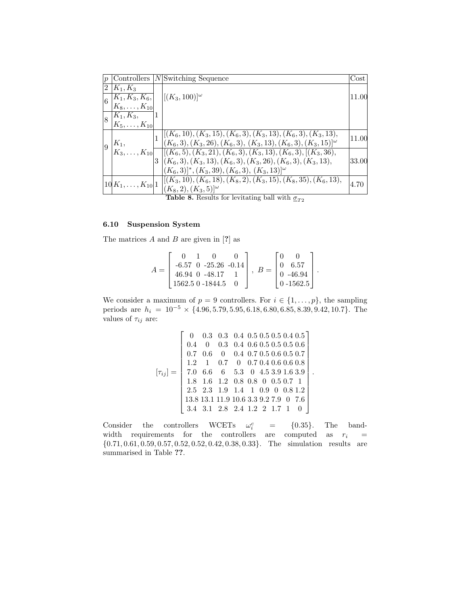| $\boldsymbol{p}$ | Controllers                |    | $ N $ Switching Sequence                                             | $\cos t$ |
|------------------|----------------------------|----|----------------------------------------------------------------------|----------|
| $\overline{2}$   | $K_1, K_3$                 |    |                                                                      |          |
| $\overline{6}$   | $ K_1, K_3, K_6,$          |    | $[(K_3, 100)]^{\omega}$                                              | 11.00    |
|                  | $ K_8, \ldots, K_{10} $    |    |                                                                      |          |
| $\vert_8$        | $ K_1, K_3,$               | 11 |                                                                      |          |
|                  | $ K_5, \ldots, K_{10} $    |    |                                                                      |          |
|                  |                            |    | $  [(K_6, 10), (K_3, 15), (K_6, 3), (K_3, 13), (K_6, 3), (K_3, 13),$ | 11.00    |
| 9                | $K_1,$                     |    | $[(K_6,3), (K_3,26), (K_6,3), (K_3,13), (K_6,3), (K_3,15)]^{\omega}$ |          |
|                  | $ K_3,\ldots,K_{10} $      |    | $[[(K_6,5),(K_3,21),(K_6,3),(K_3,13),(K_6,3),[(K_3,36),$             |          |
|                  |                            |    | $ 3 (K_6,3),(K_3,13),(K_6,3),(K_3,26),(K_6,3),(K_3,13),$             | 33.00    |
|                  |                            |    | $(K_6,3]^*, (K_3,39), (K_6,3), (K_3,13)^{ \omega }$                  |          |
|                  | $ 10 K_1,\ldots,K_{10} 1 $ |    | $  (K_3, 10), (K_6, 18), (K_8, 2), (K_3, 15), (K_8, 35), (K_6, 13),$ | 4.70     |
|                  |                            |    | $(K_8, 2), (K_3, 5)$ <sup>[<math>\omega</math></sup> ]               |          |

**Table 8.** Results for levitating ball with  $\sigma_{T2}$ 

# 6.10 Suspension System

The matrices  $A$  and  $B$  are given in [?] as

$$
A = \begin{bmatrix} 0 & 1 & 0 & 0 \\ -6.57 & 0 & -25.26 & -0.14 \\ 46.94 & 0 & -48.17 & 1 \\ 1562.5 & 0 & -1844.5 & 0 \end{bmatrix}, B = \begin{bmatrix} 0 & 0 \\ 0 & 6.57 \\ 0 & -46.94 \\ 0 & -1562.5 \end{bmatrix}.
$$

We consider a maximum of  $p = 9$  controllers. For  $i \in \{1, \ldots, p\}$ , the sampling periods are  $h_i = 10^{-5} \times \{4.96, 5.79, 5.95, 6.18, 6.80, 6.85, 8.39, 9.42, 10.7\}$ . The values of  $\tau_{ij}$  are:

$$
[\tau_{ij}] = \begin{bmatrix} 0 & 0.3 & 0.3 & 0.4 & 0.5 & 0.5 & 0.5 & 0.4 & 0.5 \\ 0.4 & 0 & 0.3 & 0.4 & 0.6 & 0.5 & 0.5 & 0.6 & 0.6 \\ 0.7 & 0.6 & 0 & 0.4 & 0.7 & 0.5 & 0.6 & 0.5 & 0.7 \\ 1.2 & 1 & 0.7 & 0 & 0.7 & 0.4 & 0.6 & 0.6 & 0.8 \\ 7.0 & 6.6 & 6 & 5.3 & 0 & 4.5 & 3.9 & 1.6 & 3.9 \\ 1.8 & 1.6 & 1.2 & 0.8 & 0.8 & 0 & 0.5 & 0.7 & 1 \\ 2.5 & 2.3 & 1.9 & 1.4 & 1 & 0.9 & 0 & 0.8 & 1.2 \\ 13.8 & 13.1 & 11.9 & 10.6 & 3.3 & 9.2 & 7.9 & 0 & 7.6 \\ 3.4 & 3.1 & 2.8 & 2.4 & 1.2 & 2 & 1.7 & 1 & 0 \end{bmatrix}
$$

.

Consider the controllers WCETs  $\omega_i^c$  $=$  {0.35}. The bandwidth requirements for the controllers are computed as  $r_i$  = {0.71, 0.61, 0.59, 0.57, 0.52, 0.52, 0.42, 0.38, 0.33}. The simulation results are summarised in Table ??.